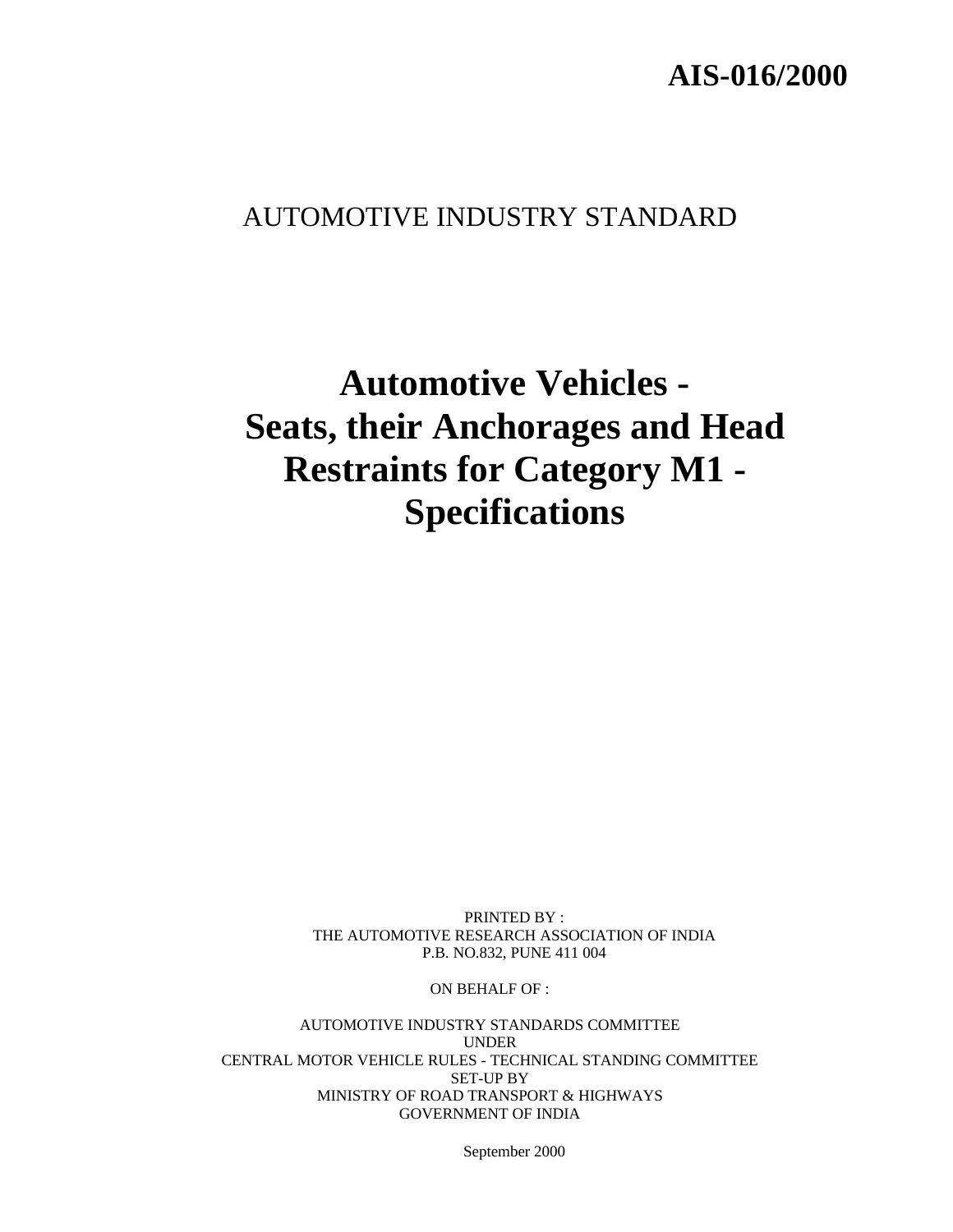# **AIS-016/2000**

# AUTOMOTIVE INDUSTRY STANDARD

# **Automotive Vehicles - Seats, their Anchorages and Head Restraints for Category M1 - Specifications**

PRINTED BY : THE AUTOMOTIVE RESEARCH ASSOCIATION OF INDIA P.B. NO.832, PUNE 411 004

ON BEHALF OF :

AUTOMOTIVE INDUSTRY STANDARDS COMMITTEE UNDER CENTRAL MOTOR VEHICLE RULES - TECHNICAL STANDING COMMITTEE SET-UP BY MINISTRY OF ROAD TRANSPORT & HIGHWAYS GOVERNMENT OF INDIA

September 2000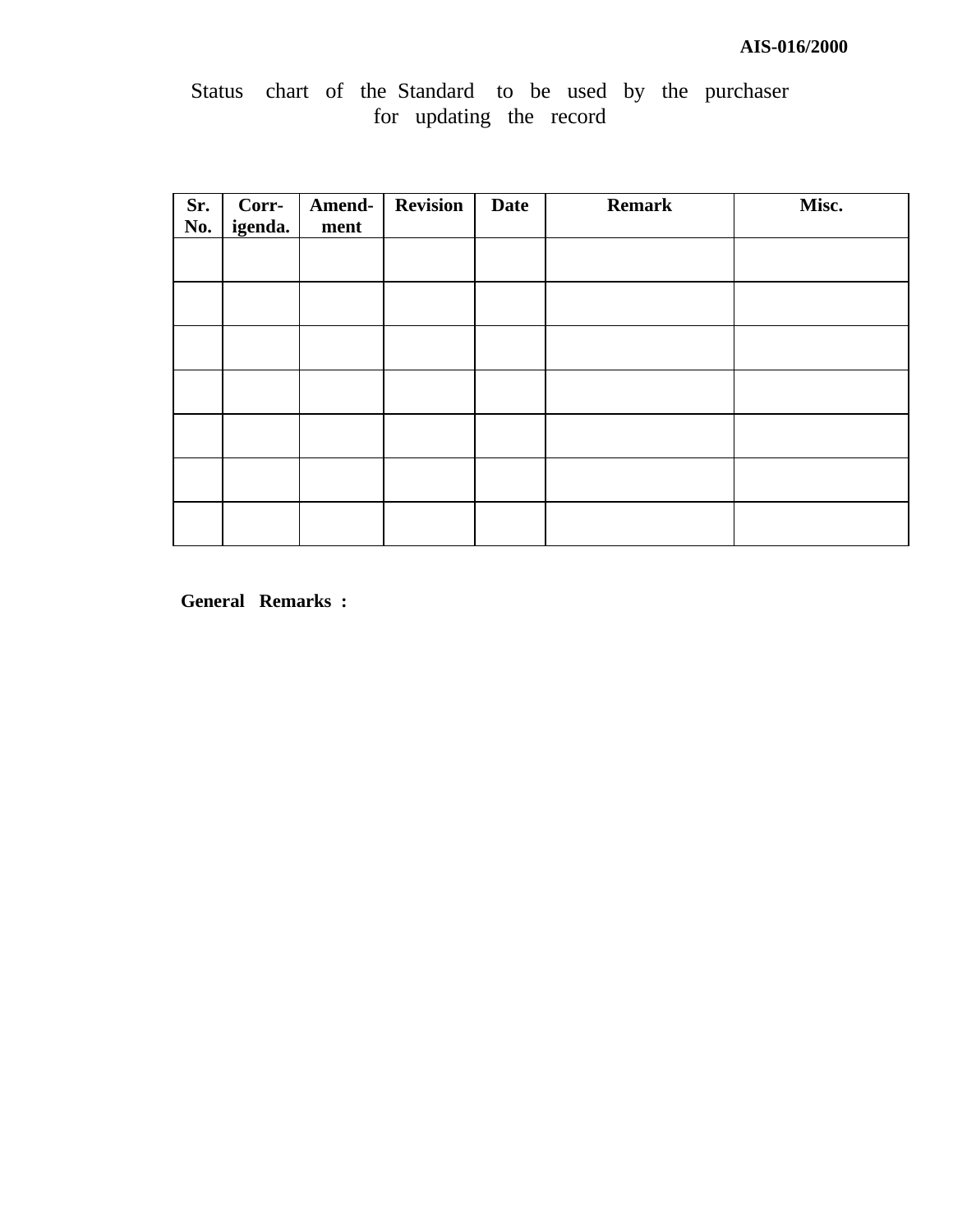## **AIS-016/2000**

# Status chart of the Standard to be used by the purchaser for updating the record

| Sr.<br>No. | Corr-<br>igenda. | Amend-<br>ment | <b>Revision</b> | <b>Date</b> | <b>Remark</b> | Misc. |
|------------|------------------|----------------|-----------------|-------------|---------------|-------|
|            |                  |                |                 |             |               |       |
|            |                  |                |                 |             |               |       |
|            |                  |                |                 |             |               |       |
|            |                  |                |                 |             |               |       |
|            |                  |                |                 |             |               |       |
|            |                  |                |                 |             |               |       |
|            |                  |                |                 |             |               |       |

**General Remarks :**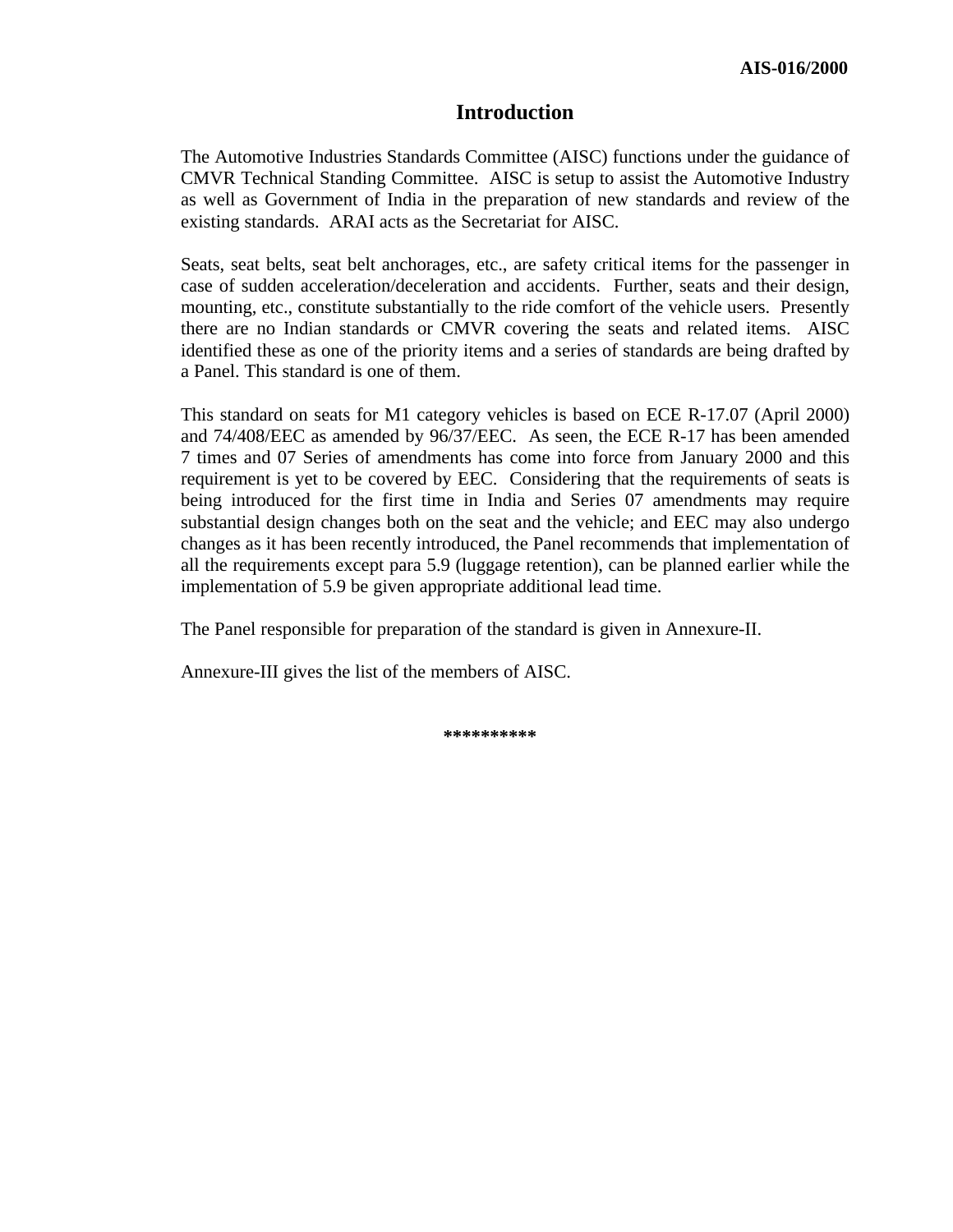#### **Introduction**

The Automotive Industries Standards Committee (AISC) functions under the guidance of CMVR Technical Standing Committee. AISC is setup to assist the Automotive Industry as well as Government of India in the preparation of new standards and review of the existing standards. ARAI acts as the Secretariat for AISC.

Seats, seat belts, seat belt anchorages, etc., are safety critical items for the passenger in case of sudden acceleration/deceleration and accidents. Further, seats and their design, mounting, etc., constitute substantially to the ride comfort of the vehicle users. Presently there are no Indian standards or CMVR covering the seats and related items. AISC identified these as one of the priority items and a series of standards are being drafted by a Panel. This standard is one of them.

This standard on seats for M1 category vehicles is based on ECE R-17.07 (April 2000) and 74/408/EEC as amended by 96/37/EEC. As seen, the ECE R-17 has been amended 7 times and 07 Series of amendments has come into force from January 2000 and this requirement is yet to be covered by EEC. Considering that the requirements of seats is being introduced for the first time in India and Series 07 amendments may require substantial design changes both on the seat and the vehicle; and EEC may also undergo changes as it has been recently introduced, the Panel recommends that implementation of all the requirements except para 5.9 (luggage retention), can be planned earlier while the implementation of 5.9 be given appropriate additional lead time.

The Panel responsible for preparation of the standard is given in Annexure-II.

Annexure-III gives the list of the members of AISC.

**\*\*\*\*\*\*\*\*\*\***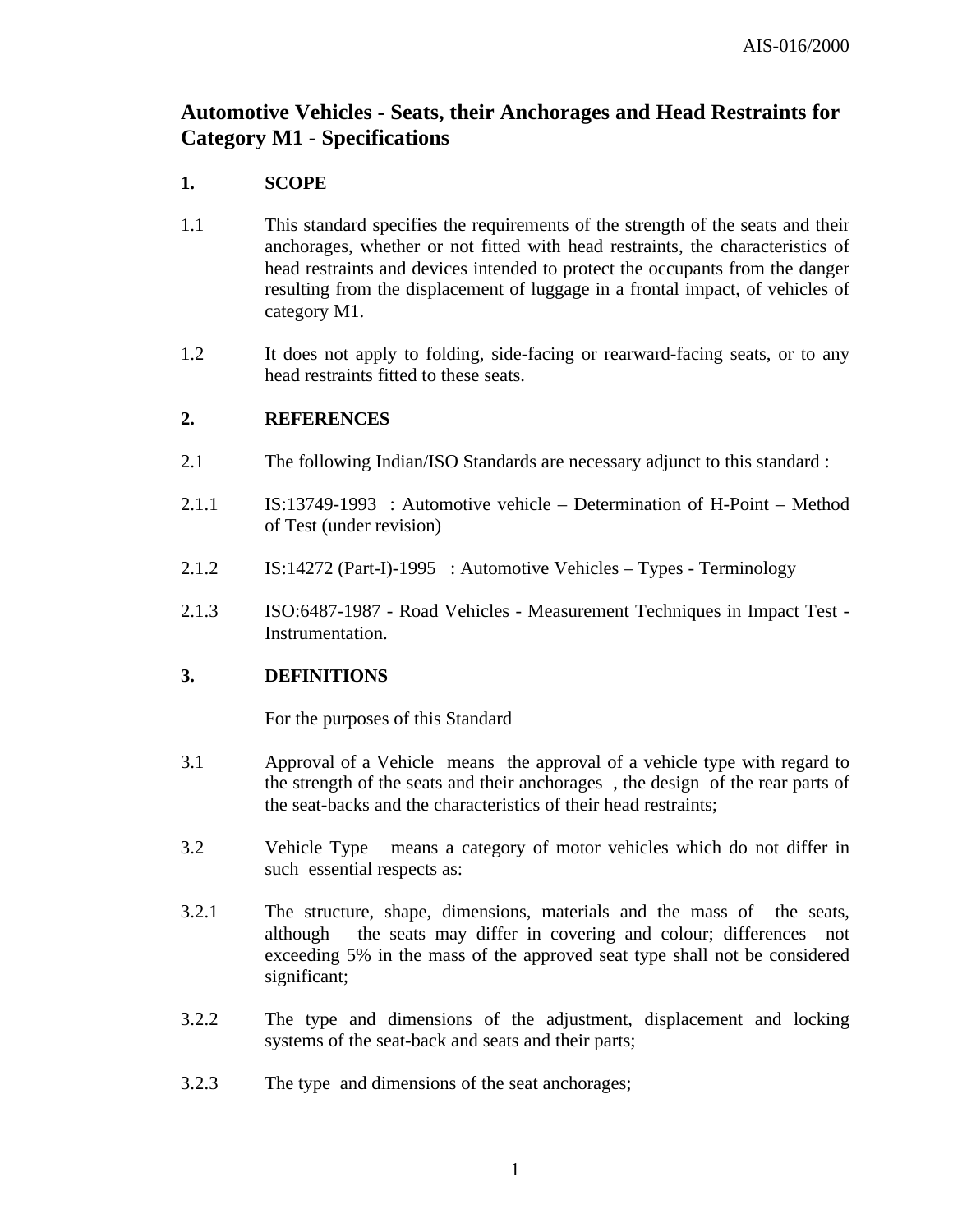## **Automotive Vehicles - Seats, their Anchorages and Head Restraints for Category M1 - Specifications**

#### **1. SCOPE**

- 1.1 This standard specifies the requirements of the strength of the seats and their anchorages, whether or not fitted with head restraints, the characteristics of head restraints and devices intended to protect the occupants from the danger resulting from the displacement of luggage in a frontal impact, of vehicles of category M1.
- 1.2 It does not apply to folding, side-facing or rearward-facing seats, or to any head restraints fitted to these seats.

#### **2. REFERENCES**

- 2.1 The following Indian/ISO Standards are necessary adjunct to this standard :
- 2.1.1 IS:13749-1993 : Automotive vehicle Determination of H-Point Method of Test (under revision)
- 2.1.2 IS:14272 (Part-I)-1995 : Automotive Vehicles Types Terminology
- 2.1.3 ISO:6487-1987 Road Vehicles Measurement Techniques in Impact Test Instrumentation.

#### **3. DEFINITIONS**

For the purposes of this Standard

- 3.1 Approval of a Vehiclemeans the approval of a vehicle type with regard to the strength of the seats and their anchorages , the design of the rear parts of the seat-backs and the characteristics of their head restraints;
- 3.2 Vehicle Type means a category of motor vehicles which do not differ in such essential respects as:
- 3.2.1 The structure, shape, dimensions, materials and the mass of the seats, although the seats may differ in covering and colour; differences not exceeding 5% in the mass of the approved seat type shall not be considered significant;
- 3.2.2 The type and dimensions of the adjustment, displacement and locking systems of the seat-back and seats and their parts;
- 3.2.3 The type and dimensions of the seat anchorages;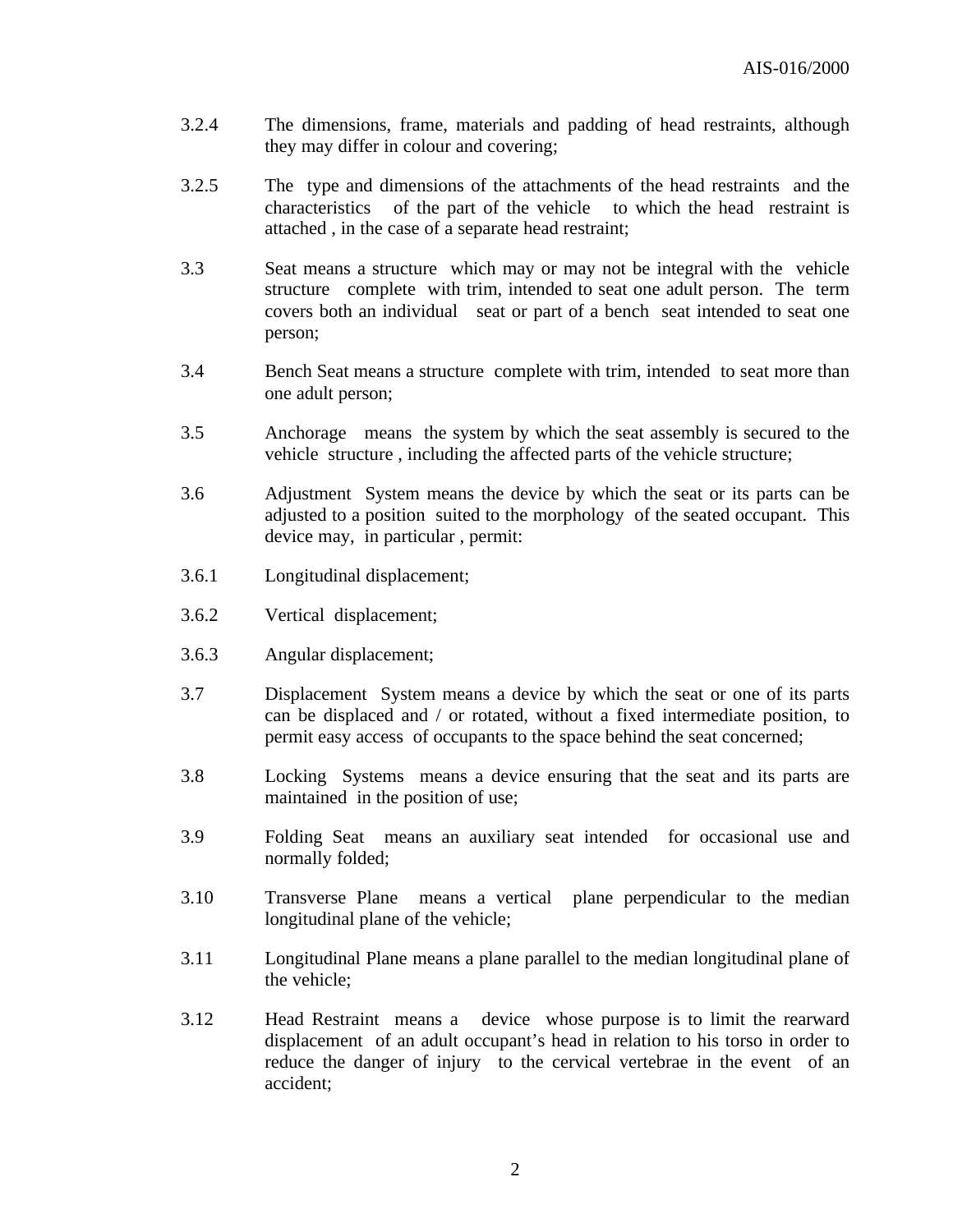- 3.2.4 The dimensions, frame, materials and padding of head restraints, although they may differ in colour and covering;
- 3.2.5 The type and dimensions of the attachments of the head restraints and the characteristics of the part of the vehicle to which the head restraint is attached , in the case of a separate head restraint;
- 3.3 Seat means a structure which may or may not be integral with the vehicle structure complete with trim, intended to seat one adult person. The term covers both an individual seat or part of a bench seat intended to seat one person;
- 3.4 Bench Seat means a structure complete with trim, intended to seat more than one adult person;
- 3.5 Anchoragemeans the system by which the seat assembly is secured to the vehicle structure , including the affected parts of the vehicle structure;
- 3.6 Adjustment System means the device by which the seat or its parts can be adjusted to a position suited to the morphology of the seated occupant. This device may, in particular , permit:
- 3.6.1 Longitudinal displacement;
- 3.6.2 Vertical displacement;
- 3.6.3 Angular displacement;
- 3.7 Displacement System means a device by which the seat or one of its parts can be displaced and / or rotated, without a fixed intermediate position, to permit easy access of occupants to the space behind the seat concerned;
- 3.8 Locking Systems means a device ensuring that the seat and its parts are maintained in the position of use;
- 3.9 Folding Seat means an auxiliary seat intended for occasional use and normally folded;
- 3.10 Transverse Plane means a vertical plane perpendicular to the median longitudinal plane of the vehicle;
- 3.11 Longitudinal Plane means a plane parallel to the median longitudinal plane of the vehicle;
- 3.12 Head Restraint means a device whose purpose is to limit the rearward displacement of an adult occupant's head in relation to his torso in order to reduce the danger of injury to the cervical vertebrae in the event of an accident;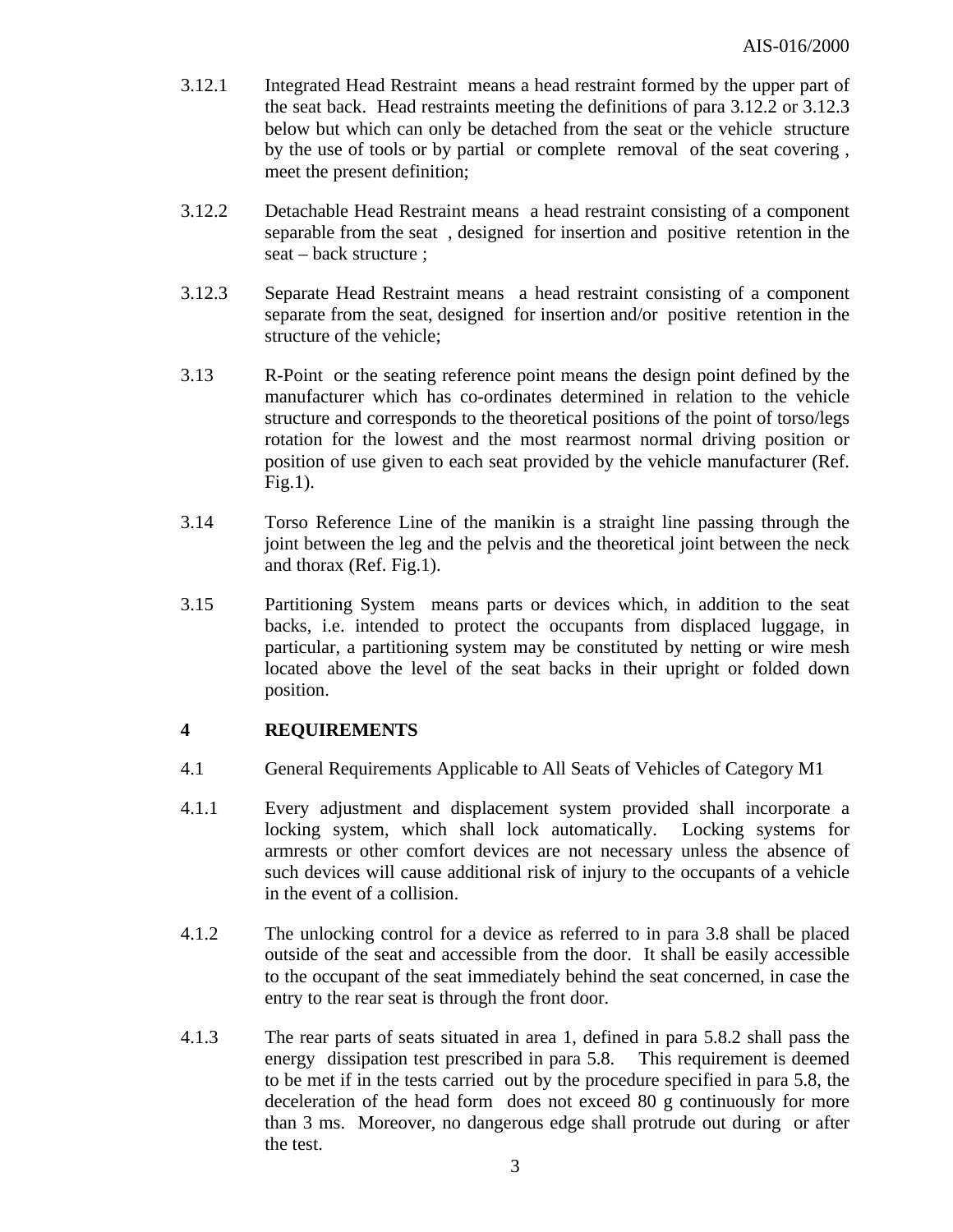- 3.12.1 Integrated Head Restraint means a head restraint formed by the upper part of the seat back. Head restraints meeting the definitions of para 3.12.2 or 3.12.3 below but which can only be detached from the seat or the vehicle structure by the use of tools or by partial or complete removal of the seat covering , meet the present definition;
- 3.12.2 Detachable Head Restraint means a head restraint consisting of a component separable from the seat , designed for insertion and positive retention in the seat – back structure ;
- 3.12.3 Separate Head Restraint means a head restraint consisting of a component separate from the seat, designed for insertion and/or positive retention in the structure of the vehicle;
- 3.13 R-Point or the seating reference point means the design point defined by the manufacturer which has co-ordinates determined in relation to the vehicle structure and corresponds to the theoretical positions of the point of torso/legs rotation for the lowest and the most rearmost normal driving position or position of use given to each seat provided by the vehicle manufacturer (Ref. Fig.1).
- 3.14 Torso Reference Line of the manikin is a straight line passing through the joint between the leg and the pelvis and the theoretical joint between the neck and thorax (Ref. Fig.1).
- 3.15 Partitioning System means parts or devices which, in addition to the seat backs, i.e. intended to protect the occupants from displaced luggage, in particular, a partitioning system may be constituted by netting or wire mesh located above the level of the seat backs in their upright or folded down position.

#### **4 REQUIREMENTS**

- 4.1 General Requirements Applicable to All Seats of Vehicles of Category M1
- 4.1.1 Every adjustment and displacement system provided shall incorporate a locking system, which shall lock automatically. Locking systems for armrests or other comfort devices are not necessary unless the absence of such devices will cause additional risk of injury to the occupants of a vehicle in the event of a collision.
- 4.1.2 The unlocking control for a device as referred to in para 3.8 shall be placed outside of the seat and accessible from the door. It shall be easily accessible to the occupant of the seat immediately behind the seat concerned, in case the entry to the rear seat is through the front door.
- 4.1.3 The rear parts of seats situated in area 1, defined in para 5.8.2 shall pass the energy dissipation test prescribed in para 5.8. This requirement is deemed to be met if in the tests carried out by the procedure specified in para 5.8, the deceleration of the head form does not exceed 80 g continuously for more than 3 ms. Moreover, no dangerous edge shall protrude out during or after the test.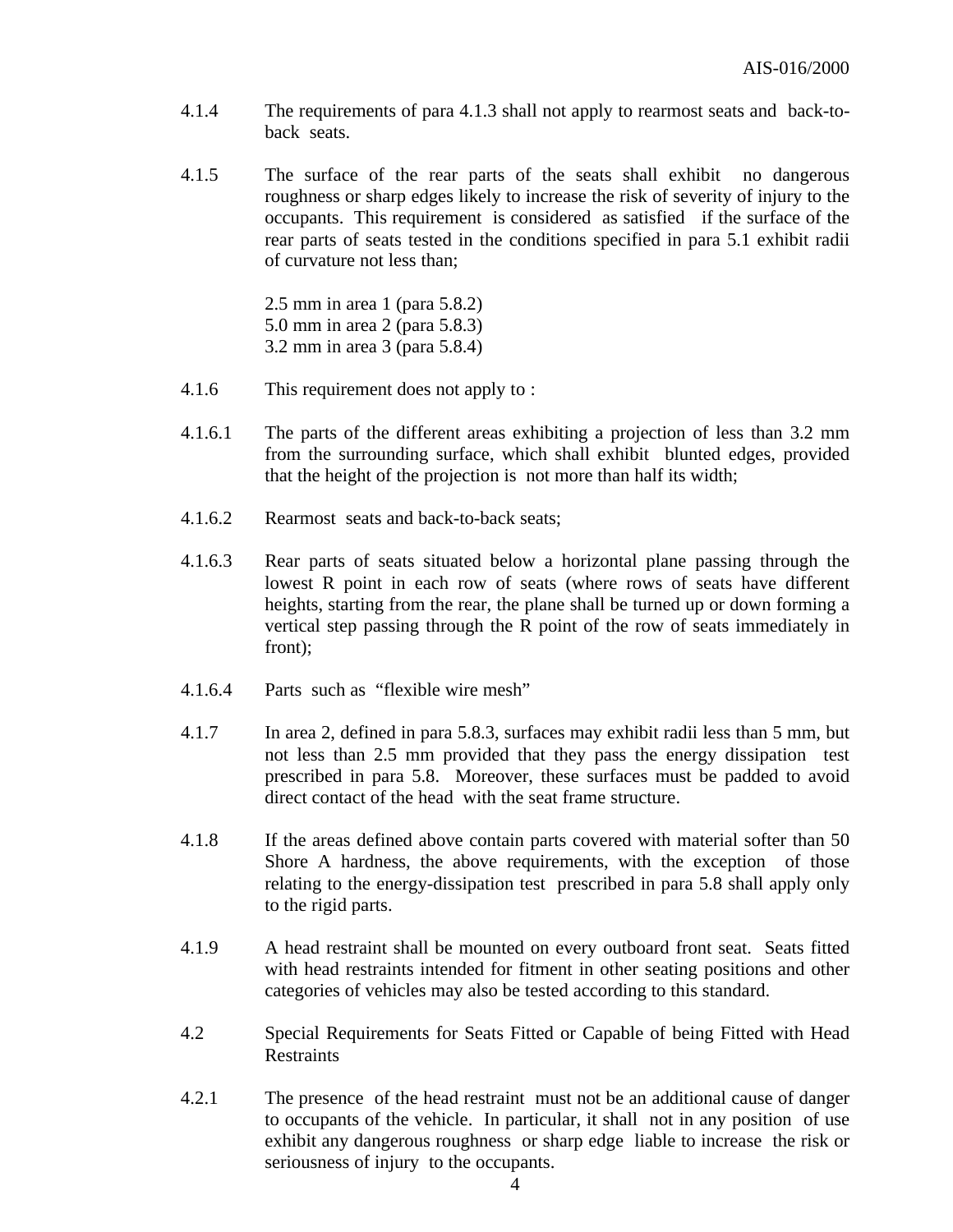- 4.1.4 The requirements of para 4.1.3 shall not apply to rearmost seats and back-toback seats.
- 4.1.5 The surface of the rear parts of the seats shall exhibit no dangerous roughness or sharp edges likely to increase the risk of severity of injury to the occupants. This requirement is considered as satisfied if the surface of the rear parts of seats tested in the conditions specified in para 5.1 exhibit radii of curvature not less than;

2.5 mm in area 1 (para 5.8.2) 5.0 mm in area 2 (para 5.8.3) 3.2 mm in area 3 (para 5.8.4)

- 4.1.6 This requirement does not apply to :
- 4.1.6.1 The parts of the different areas exhibiting a projection of less than 3.2 mm from the surrounding surface, which shall exhibit blunted edges, provided that the height of the projection is not more than half its width;
- 4.1.6.2 Rearmost seats and back-to-back seats;
- 4.1.6.3 Rear parts of seats situated below a horizontal plane passing through the lowest R point in each row of seats (where rows of seats have different heights, starting from the rear, the plane shall be turned up or down forming a vertical step passing through the R point of the row of seats immediately in front);
- 4.1.6.4 Parts such as "flexible wire mesh"
- 4.1.7 In area 2, defined in para 5.8.3, surfaces may exhibit radii less than 5 mm, but not less than 2.5 mm provided that they pass the energy dissipation test prescribed in para 5.8. Moreover, these surfaces must be padded to avoid direct contact of the head with the seat frame structure.
- 4.1.8 If the areas defined above contain parts covered with material softer than 50 Shore A hardness, the above requirements, with the exception of those relating to the energy-dissipation test prescribed in para 5.8 shall apply only to the rigid parts.
- 4.1.9 A head restraint shall be mounted on every outboard front seat. Seats fitted with head restraints intended for fitment in other seating positions and other categories of vehicles may also be tested according to this standard.
- 4.2 Special Requirements for Seats Fitted or Capable of being Fitted with Head Restraints
- 4.2.1 The presence of the head restraint must not be an additional cause of danger to occupants of the vehicle. In particular, it shall not in any position of use exhibit any dangerous roughness or sharp edge liable to increase the risk or seriousness of injury to the occupants.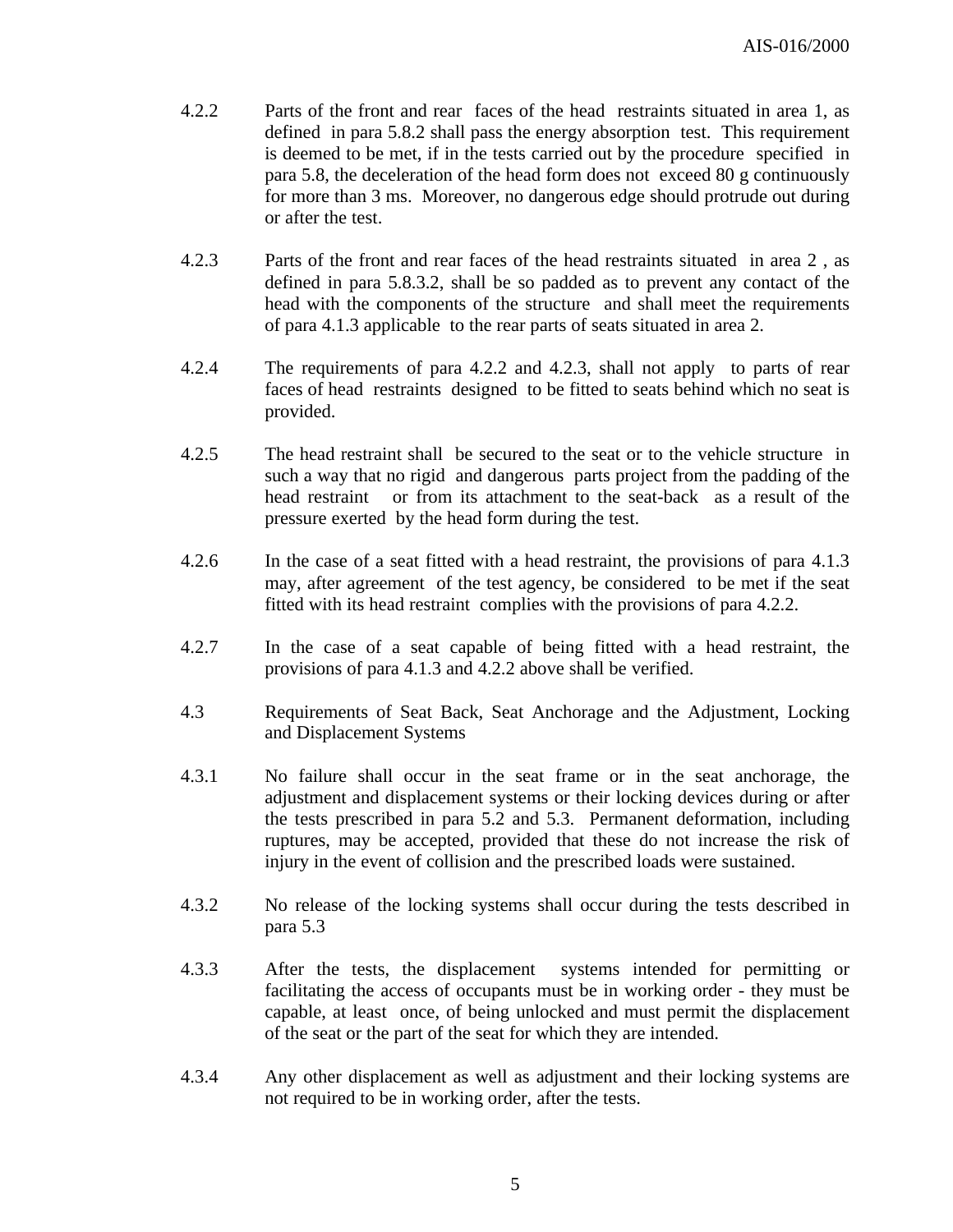- 4.2.2 Parts of the front and rear faces of the head restraints situated in area 1, as defined in para 5.8.2 shall pass the energy absorption test. This requirement is deemed to be met, if in the tests carried out by the procedure specified in para 5.8, the deceleration of the head form does not exceed 80 g continuously for more than 3 ms. Moreover, no dangerous edge should protrude out during or after the test.
- 4.2.3 Parts of the front and rear faces of the head restraints situated in area 2 , as defined in para 5.8.3.2, shall be so padded as to prevent any contact of the head with the components of the structure and shall meet the requirements of para 4.1.3 applicable to the rear parts of seats situated in area 2.
- 4.2.4 The requirements of para 4.2.2 and 4.2.3, shall not apply to parts of rear faces of head restraints designed to be fitted to seats behind which no seat is provided.
- 4.2.5 The head restraint shall be secured to the seat or to the vehicle structure in such a way that no rigid and dangerous parts project from the padding of the head restraint or from its attachment to the seat-back as a result of the pressure exerted by the head form during the test.
- 4.2.6 In the case of a seat fitted with a head restraint, the provisions of para 4.1.3 may, after agreement of the test agency, be considered to be met if the seat fitted with its head restraint complies with the provisions of para 4.2.2.
- 4.2.7 In the case of a seat capable of being fitted with a head restraint, the provisions of para 4.1.3 and 4.2.2 above shall be verified.
- 4.3 Requirements of Seat Back, Seat Anchorage and the Adjustment, Locking and Displacement Systems
- 4.3.1 No failure shall occur in the seat frame or in the seat anchorage, the adjustment and displacement systems or their locking devices during or after the tests prescribed in para 5.2 and 5.3. Permanent deformation, including ruptures, may be accepted, provided that these do not increase the risk of injury in the event of collision and the prescribed loads were sustained.
- 4.3.2 No release of the locking systems shall occur during the tests described in para 5.3
- 4.3.3 After the tests, the displacement systems intended for permitting or facilitating the access of occupants must be in working order - they must be capable, at least once, of being unlocked and must permit the displacement of the seat or the part of the seat for which they are intended.
- 4.3.4 Any other displacement as well as adjustment and their locking systems are not required to be in working order, after the tests.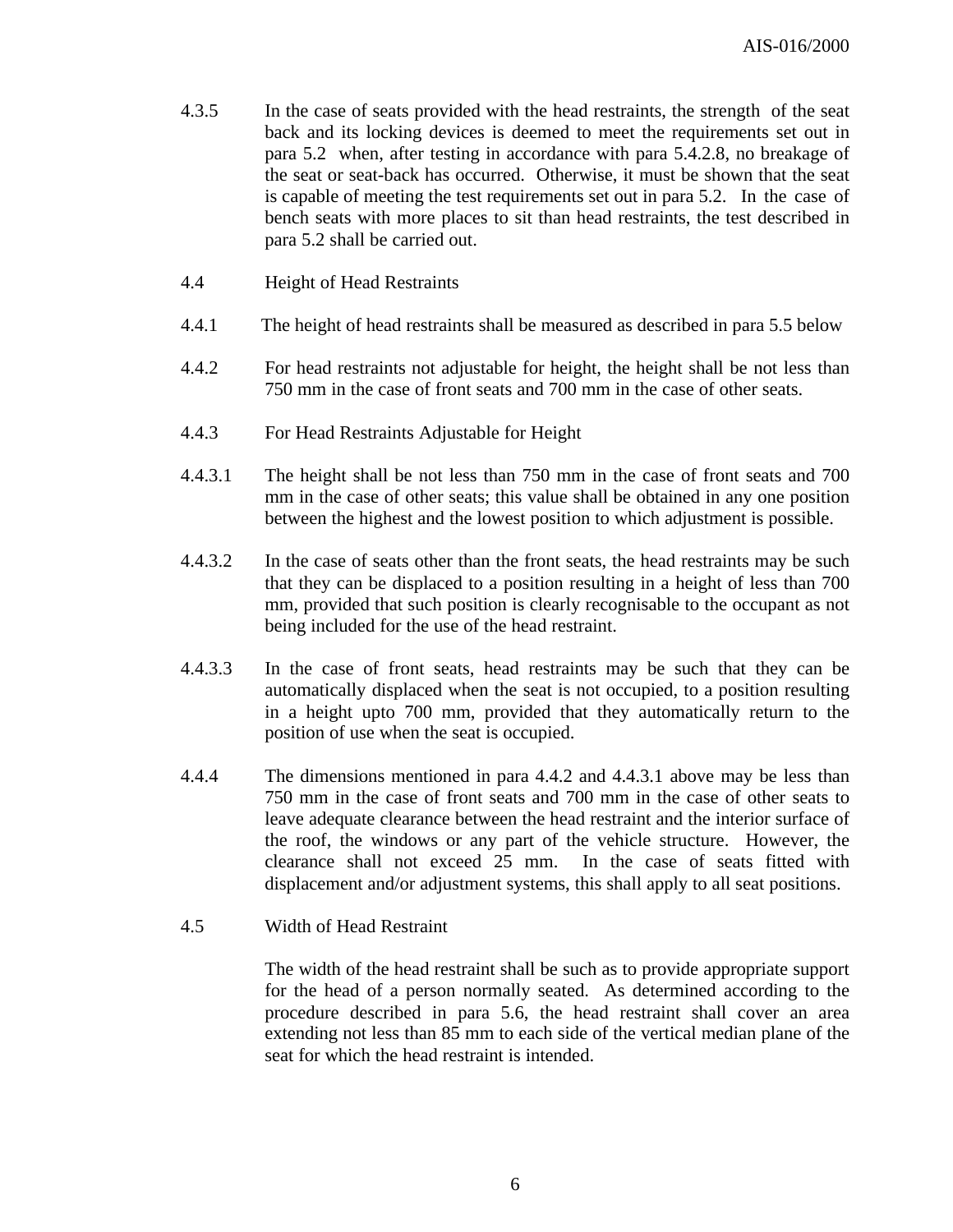- 4.3.5 In the case of seats provided with the head restraints, the strength of the seat back and its locking devices is deemed to meet the requirements set out in para 5.2 when, after testing in accordance with para 5.4.2.8, no breakage of the seat or seat-back has occurred. Otherwise, it must be shown that the seat is capable of meeting the test requirements set out in para 5.2. In the case of bench seats with more places to sit than head restraints, the test described in para 5.2 shall be carried out.
- 4.4 Height of Head Restraints
- 4.4.1 The height of head restraints shall be measured as described in para 5.5 below
- 4.4.2 For head restraints not adjustable for height, the height shall be not less than 750 mm in the case of front seats and 700 mm in the case of other seats.
- 4.4.3 For Head Restraints Adjustable for Height
- 4.4.3.1 The height shall be not less than 750 mm in the case of front seats and 700 mm in the case of other seats; this value shall be obtained in any one position between the highest and the lowest position to which adjustment is possible.
- 4.4.3.2 In the case of seats other than the front seats, the head restraints may be such that they can be displaced to a position resulting in a height of less than 700 mm, provided that such position is clearly recognisable to the occupant as not being included for the use of the head restraint.
- 4.4.3.3 In the case of front seats, head restraints may be such that they can be automatically displaced when the seat is not occupied, to a position resulting in a height upto 700 mm, provided that they automatically return to the position of use when the seat is occupied.
- 4.4.4 The dimensions mentioned in para 4.4.2 and 4.4.3.1 above may be less than 750 mm in the case of front seats and 700 mm in the case of other seats to leave adequate clearance between the head restraint and the interior surface of the roof, the windows or any part of the vehicle structure. However, the clearance shall not exceed 25 mm. In the case of seats fitted with displacement and/or adjustment systems, this shall apply to all seat positions.
- 4.5 Width of Head Restraint

The width of the head restraint shall be such as to provide appropriate support for the head of a person normally seated. As determined according to the procedure described in para 5.6, the head restraint shall cover an area extending not less than 85 mm to each side of the vertical median plane of the seat for which the head restraint is intended.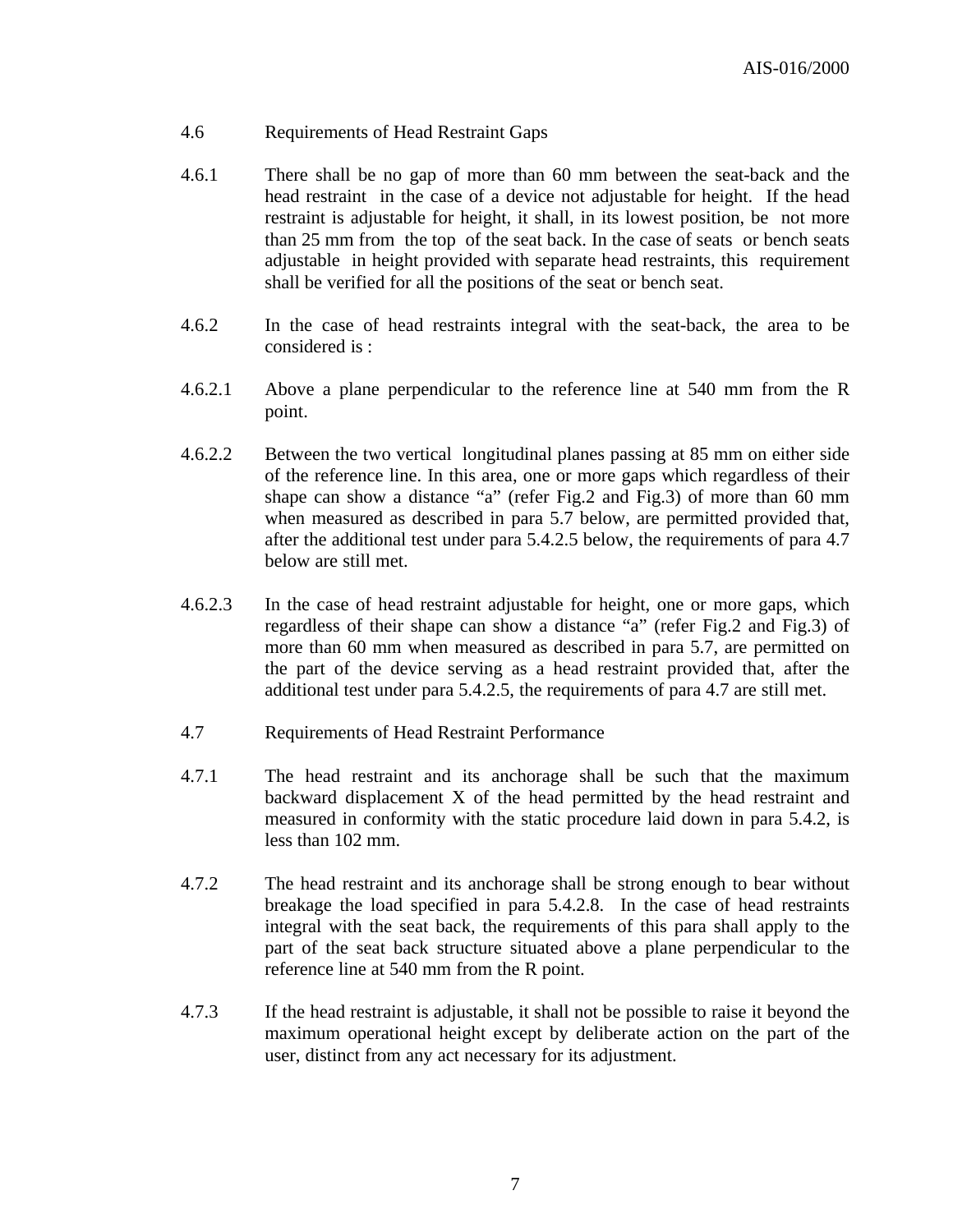#### 4.6 Requirements of Head Restraint Gaps

- 4.6.1 There shall be no gap of more than 60 mm between the seat-back and the head restraint in the case of a device not adjustable for height. If the head restraint is adjustable for height, it shall, in its lowest position, be not more than 25 mm from the top of the seat back. In the case of seats or bench seats adjustable in height provided with separate head restraints, this requirement shall be verified for all the positions of the seat or bench seat.
- 4.6.2 In the case of head restraints integral with the seat-back, the area to be considered is :
- 4.6.2.1 Above a plane perpendicular to the reference line at 540 mm from the R point.
- 4.6.2.2 Between the two vertical longitudinal planes passing at 85 mm on either side of the reference line. In this area, one or more gaps which regardless of their shape can show a distance "a" (refer Fig.2 and Fig.3) of more than 60 mm when measured as described in para 5.7 below, are permitted provided that, after the additional test under para 5.4.2.5 below, the requirements of para 4.7 below are still met.
- 4.6.2.3 In the case of head restraint adjustable for height, one or more gaps, which regardless of their shape can show a distance "a" (refer Fig.2 and Fig.3) of more than 60 mm when measured as described in para 5.7, are permitted on the part of the device serving as a head restraint provided that, after the additional test under para 5.4.2.5, the requirements of para 4.7 are still met.
- 4.7 Requirements of Head Restraint Performance
- 4.7.1 The head restraint and its anchorage shall be such that the maximum backward displacement X of the head permitted by the head restraint and measured in conformity with the static procedure laid down in para 5.4.2, is less than 102 mm.
- 4.7.2 The head restraint and its anchorage shall be strong enough to bear without breakage the load specified in para 5.4.2.8. In the case of head restraints integral with the seat back, the requirements of this para shall apply to the part of the seat back structure situated above a plane perpendicular to the reference line at 540 mm from the R point.
- 4.7.3 If the head restraint is adjustable, it shall not be possible to raise it beyond the maximum operational height except by deliberate action on the part of the user, distinct from any act necessary for its adjustment.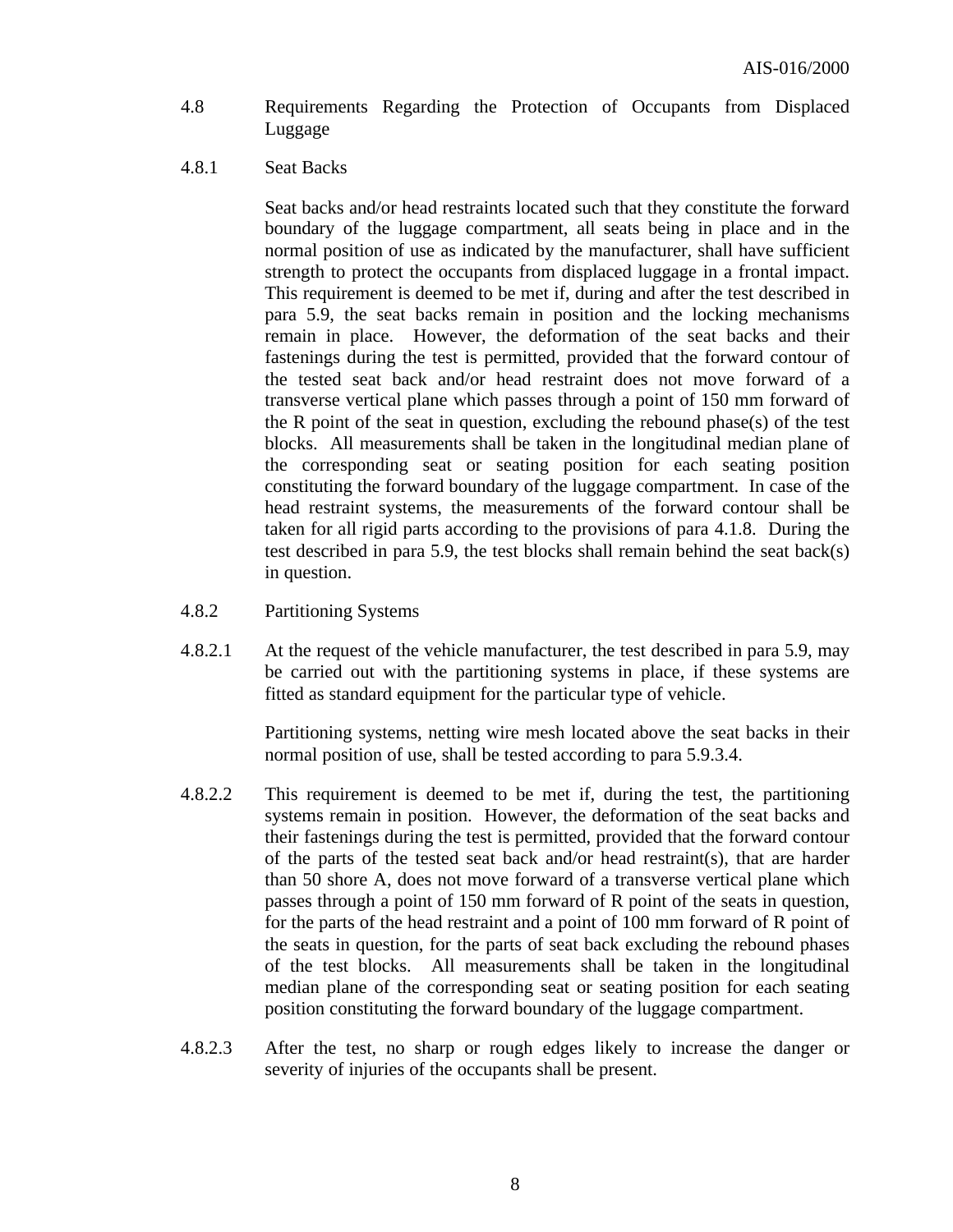- 4.8 Requirements Regarding the Protection of Occupants from Displaced Luggage
- 4.8.1 Seat Backs

Seat backs and/or head restraints located such that they constitute the forward boundary of the luggage compartment, all seats being in place and in the normal position of use as indicated by the manufacturer, shall have sufficient strength to protect the occupants from displaced luggage in a frontal impact. This requirement is deemed to be met if, during and after the test described in para 5.9, the seat backs remain in position and the locking mechanisms remain in place. However, the deformation of the seat backs and their fastenings during the test is permitted, provided that the forward contour of the tested seat back and/or head restraint does not move forward of a transverse vertical plane which passes through a point of 150 mm forward of the R point of the seat in question, excluding the rebound phase(s) of the test blocks. All measurements shall be taken in the longitudinal median plane of the corresponding seat or seating position for each seating position constituting the forward boundary of the luggage compartment. In case of the head restraint systems, the measurements of the forward contour shall be taken for all rigid parts according to the provisions of para 4.1.8. During the test described in para 5.9, the test blocks shall remain behind the seat back(s) in question.

- 4.8.2 Partitioning Systems
- 4.8.2.1 At the request of the vehicle manufacturer, the test described in para 5.9, may be carried out with the partitioning systems in place, if these systems are fitted as standard equipment for the particular type of vehicle.

Partitioning systems, netting wire mesh located above the seat backs in their normal position of use, shall be tested according to para 5.9.3.4.

- 4.8.2.2 This requirement is deemed to be met if, during the test, the partitioning systems remain in position. However, the deformation of the seat backs and their fastenings during the test is permitted, provided that the forward contour of the parts of the tested seat back and/or head restraint(s), that are harder than 50 shore A, does not move forward of a transverse vertical plane which passes through a point of 150 mm forward of R point of the seats in question, for the parts of the head restraint and a point of 100 mm forward of R point of the seats in question, for the parts of seat back excluding the rebound phases of the test blocks. All measurements shall be taken in the longitudinal median plane of the corresponding seat or seating position for each seating position constituting the forward boundary of the luggage compartment.
- 4.8.2.3 After the test, no sharp or rough edges likely to increase the danger or severity of injuries of the occupants shall be present.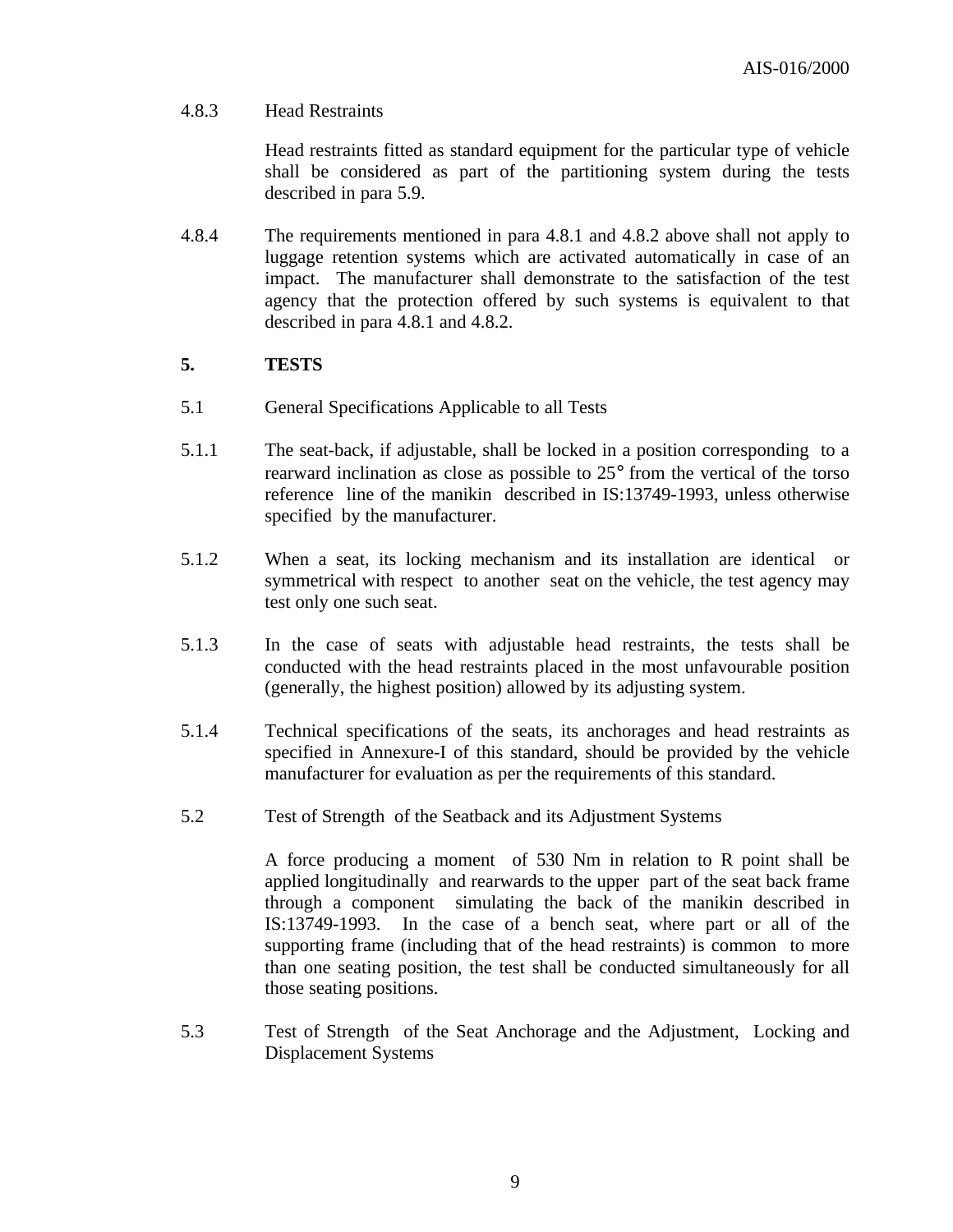#### 4.8.3 Head Restraints

Head restraints fitted as standard equipment for the particular type of vehicle shall be considered as part of the partitioning system during the tests described in para 5.9.

4.8.4 The requirements mentioned in para 4.8.1 and 4.8.2 above shall not apply to luggage retention systems which are activated automatically in case of an impact. The manufacturer shall demonstrate to the satisfaction of the test agency that the protection offered by such systems is equivalent to that described in para 4.8.1 and 4.8.2.

#### **5. TESTS**

- 5.1 General Specifications Applicable to all Tests
- 5.1.1 The seat-back, if adjustable, shall be locked in a position corresponding to a rearward inclination as close as possible to 25° from the vertical of the torso reference line of the manikin described in IS:13749-1993, unless otherwise specified by the manufacturer.
- 5.1.2 When a seat, its locking mechanism and its installation are identical or symmetrical with respect to another seat on the vehicle, the test agency may test only one such seat.
- 5.1.3 In the case of seats with adjustable head restraints, the tests shall be conducted with the head restraints placed in the most unfavourable position (generally, the highest position) allowed by its adjusting system.
- 5.1.4 Technical specifications of the seats, its anchorages and head restraints as specified in Annexure-I of this standard, should be provided by the vehicle manufacturer for evaluation as per the requirements of this standard.
- 5.2 Test of Strength of the Seatback and its Adjustment Systems

A force producing a moment of 530 Nm in relation to R point shall be applied longitudinally and rearwards to the upper part of the seat back frame through a component simulating the back of the manikin described in IS:13749-1993. In the case of a bench seat, where part or all of the supporting frame (including that of the head restraints) is common to more than one seating position, the test shall be conducted simultaneously for all those seating positions.

5.3 Test of Strength of the Seat Anchorage and the Adjustment, Locking and Displacement Systems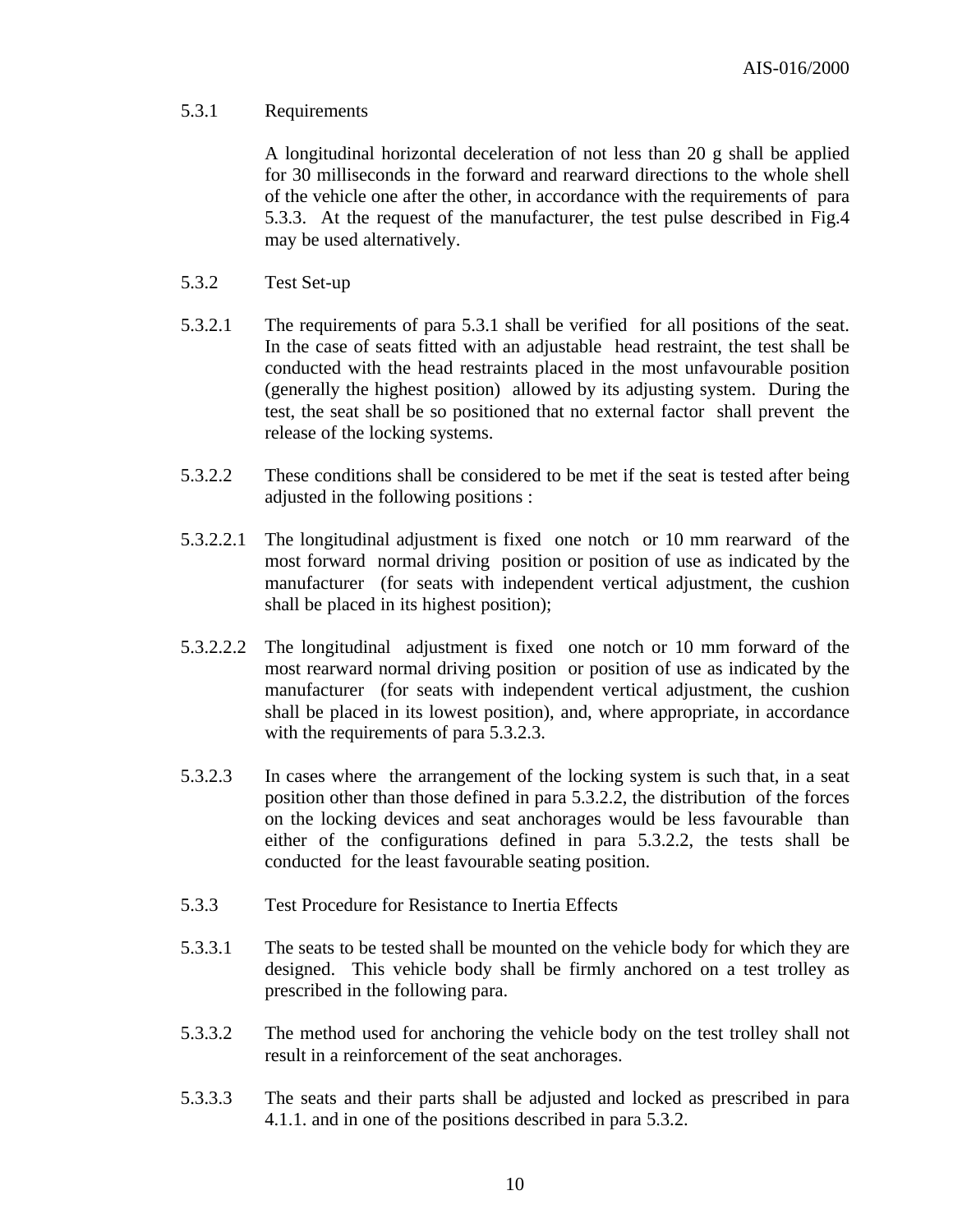#### 5.3.1 Requirements

A longitudinal horizontal deceleration of not less than 20 g shall be applied for 30 milliseconds in the forward and rearward directions to the whole shell of the vehicle one after the other, in accordance with the requirements of para 5.3.3. At the request of the manufacturer, the test pulse described in Fig.4 may be used alternatively.

- 5.3.2 Test Set-up
- 5.3.2.1 The requirements of para 5.3.1 shall be verified for all positions of the seat. In the case of seats fitted with an adjustable head restraint, the test shall be conducted with the head restraints placed in the most unfavourable position (generally the highest position) allowed by its adjusting system. During the test, the seat shall be so positioned that no external factor shall prevent the release of the locking systems.
- 5.3.2.2 These conditions shall be considered to be met if the seat is tested after being adjusted in the following positions :
- 5.3.2.2.1 The longitudinal adjustment is fixed one notch or 10 mm rearward of the most forward normal driving position or position of use as indicated by the manufacturer (for seats with independent vertical adjustment, the cushion shall be placed in its highest position);
- 5.3.2.2.2 The longitudinal adjustment is fixed one notch or 10 mm forward of the most rearward normal driving position or position of use as indicated by the manufacturer (for seats with independent vertical adjustment, the cushion shall be placed in its lowest position), and, where appropriate, in accordance with the requirements of para 5.3.2.3.
- 5.3.2.3 In cases where the arrangement of the locking system is such that, in a seat position other than those defined in para 5.3.2.2, the distribution of the forces on the locking devices and seat anchorages would be less favourable than either of the configurations defined in para 5.3.2.2, the tests shall be conducted for the least favourable seating position.
- 5.3.3 Test Procedure for Resistance to Inertia Effects
- 5.3.3.1 The seats to be tested shall be mounted on the vehicle body for which they are designed. This vehicle body shall be firmly anchored on a test trolley as prescribed in the following para.
- 5.3.3.2 The method used for anchoring the vehicle body on the test trolley shall not result in a reinforcement of the seat anchorages.
- 5.3.3.3 The seats and their parts shall be adjusted and locked as prescribed in para 4.1.1. and in one of the positions described in para 5.3.2.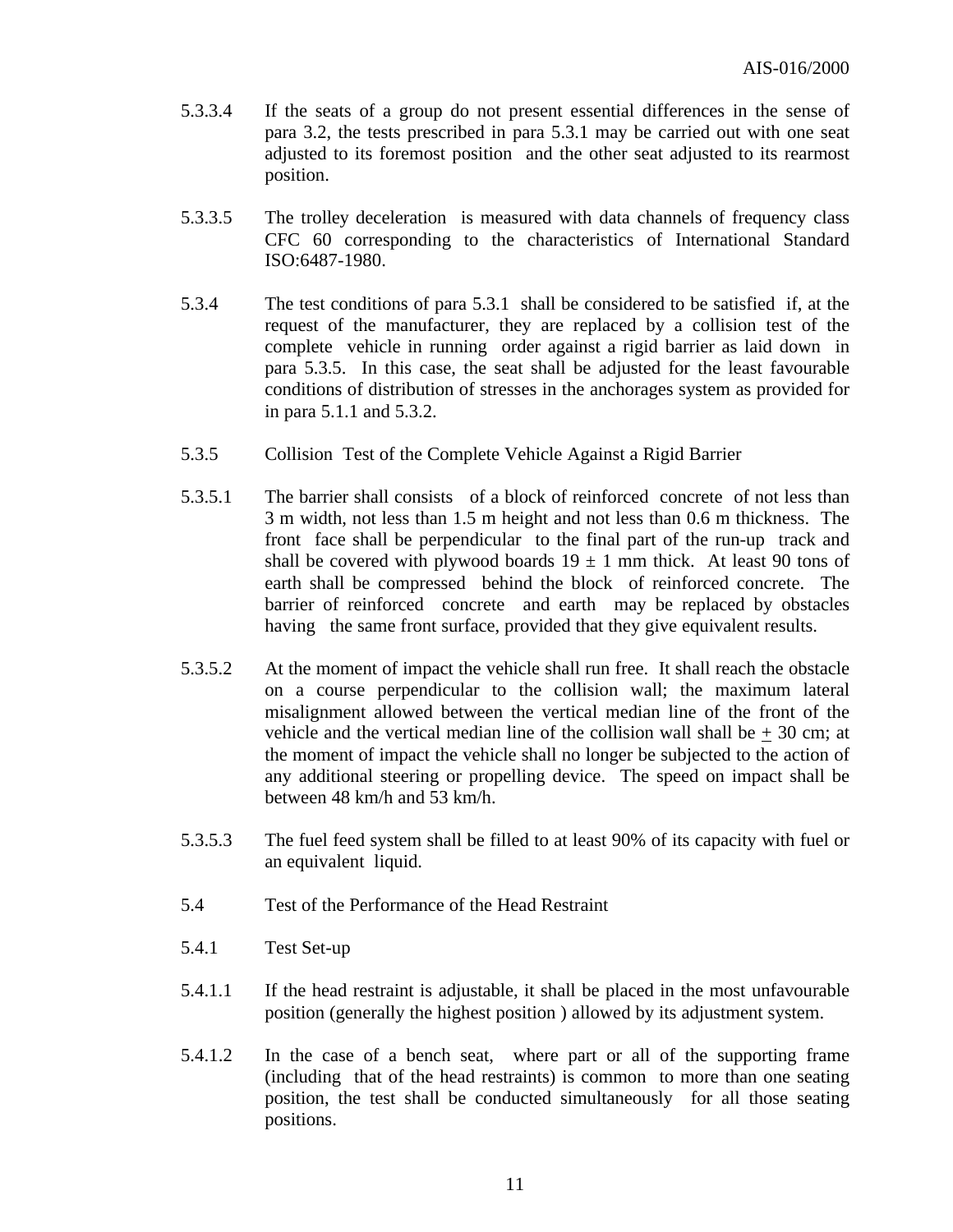- 5.3.3.4 If the seats of a group do not present essential differences in the sense of para 3.2, the tests prescribed in para 5.3.1 may be carried out with one seat adjusted to its foremost position and the other seat adjusted to its rearmost position.
- 5.3.3.5 The trolley deceleration is measured with data channels of frequency class CFC 60 corresponding to the characteristics of International Standard ISO:6487-1980.
- 5.3.4 The test conditions of para 5.3.1 shall be considered to be satisfied if, at the request of the manufacturer, they are replaced by a collision test of the complete vehicle in running order against a rigid barrier as laid down in para 5.3.5. In this case, the seat shall be adjusted for the least favourable conditions of distribution of stresses in the anchorages system as provided for in para 5.1.1 and 5.3.2.
- 5.3.5 Collision Test of the Complete Vehicle Against a Rigid Barrier
- 5.3.5.1 The barrier shall consists of a block of reinforced concrete of not less than 3 m width, not less than 1.5 m height and not less than 0.6 m thickness. The front face shall be perpendicular to the final part of the run-up track and shall be covered with plywood boards  $19 \pm 1$  mm thick. At least 90 tons of earth shall be compressed behind the block of reinforced concrete. The barrier of reinforced concrete and earth may be replaced by obstacles having the same front surface, provided that they give equivalent results.
- 5.3.5.2 At the moment of impact the vehicle shall run free. It shall reach the obstacle on a course perpendicular to the collision wall; the maximum lateral misalignment allowed between the vertical median line of the front of the vehicle and the vertical median line of the collision wall shall be  $+30$  cm; at the moment of impact the vehicle shall no longer be subjected to the action of any additional steering or propelling device. The speed on impact shall be between 48 km/h and 53 km/h.
- 5.3.5.3 The fuel feed system shall be filled to at least 90% of its capacity with fuel or an equivalent liquid.
- 5.4 Test of the Performance of the Head Restraint
- 5.4.1 Test Set-up
- 5.4.1.1 If the head restraint is adjustable, it shall be placed in the most unfavourable position (generally the highest position ) allowed by its adjustment system.
- 5.4.1.2 In the case of a bench seat, where part or all of the supporting frame (including that of the head restraints) is common to more than one seating position, the test shall be conducted simultaneously for all those seating positions.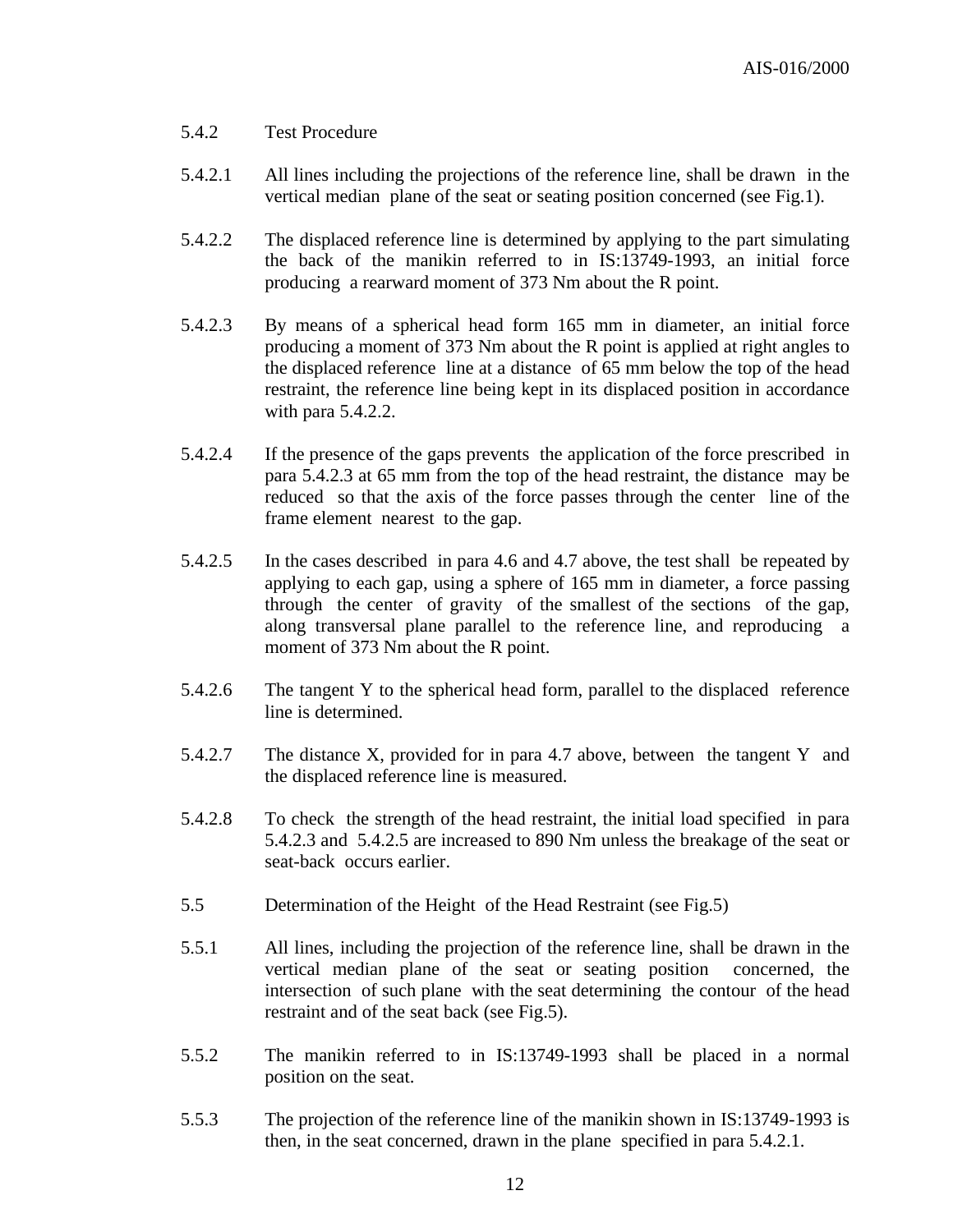#### 5.4.2 Test Procedure

- 5.4.2.1 All lines including the projections of the reference line, shall be drawn in the vertical median plane of the seat or seating position concerned (see Fig.1).
- 5.4.2.2 The displaced reference line is determined by applying to the part simulating the back of the manikin referred to in IS:13749-1993, an initial force producing a rearward moment of 373 Nm about the R point.
- 5.4.2.3 By means of a spherical head form 165 mm in diameter, an initial force producing a moment of 373 Nm about the R point is applied at right angles to the displaced reference line at a distance of 65 mm below the top of the head restraint, the reference line being kept in its displaced position in accordance with para 5.4.2.2.
- 5.4.2.4 If the presence of the gaps prevents the application of the force prescribed in para 5.4.2.3 at 65 mm from the top of the head restraint, the distance may be reduced so that the axis of the force passes through the center line of the frame element nearest to the gap.
- 5.4.2.5 In the cases described in para 4.6 and 4.7 above, the test shall be repeated by applying to each gap, using a sphere of 165 mm in diameter, a force passing through the center of gravity of the smallest of the sections of the gap, along transversal plane parallel to the reference line, and reproducing a moment of 373 Nm about the R point.
- 5.4.2.6 The tangent Y to the spherical head form, parallel to the displaced reference line is determined.
- 5.4.2.7 The distance X, provided for in para 4.7 above, between the tangent Y and the displaced reference line is measured.
- 5.4.2.8 To check the strength of the head restraint, the initial load specified in para 5.4.2.3 and 5.4.2.5 are increased to 890 Nm unless the breakage of the seat or seat-back occurs earlier.
- 5.5 Determination of the Height of the Head Restraint (see Fig.5)
- 5.5.1 All lines, including the projection of the reference line, shall be drawn in the vertical median plane of the seat or seating position concerned, the intersection of such plane with the seat determining the contour of the head restraint and of the seat back (see Fig.5).
- 5.5.2 The manikin referred to in IS:13749-1993 shall be placed in a normal position on the seat.
- 5.5.3 The projection of the reference line of the manikin shown in IS:13749-1993 is then, in the seat concerned, drawn in the plane specified in para 5.4.2.1.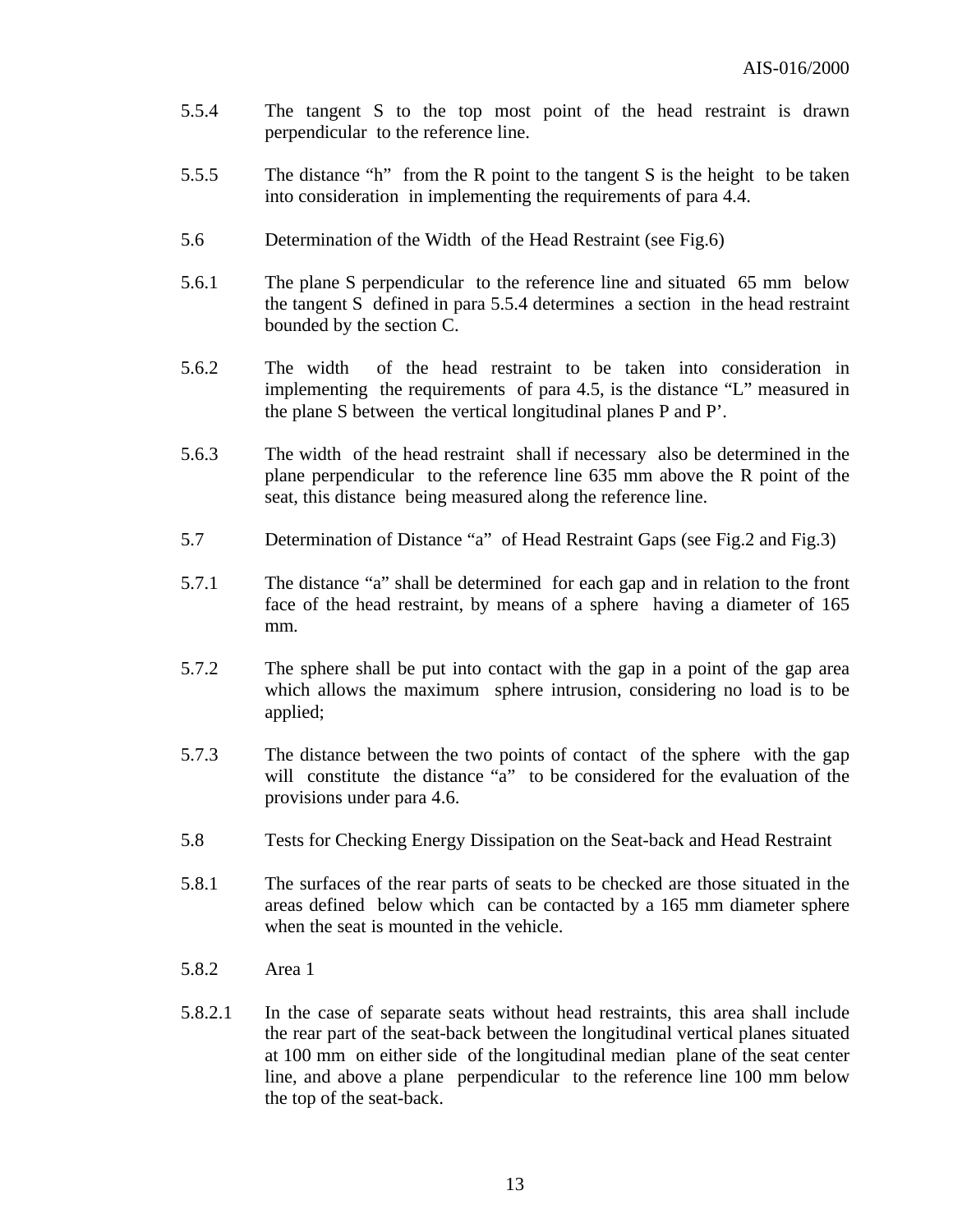- 5.5.4 The tangent S to the top most point of the head restraint is drawn perpendicular to the reference line.
- 5.5.5 The distance "h" from the R point to the tangent S is the height to be taken into consideration in implementing the requirements of para 4.4.
- 5.6 Determination of the Width of the Head Restraint (see Fig.6)
- 5.6.1 The plane S perpendicular to the reference line and situated 65 mm below the tangent S defined in para 5.5.4 determines a section in the head restraint bounded by the section C.
- 5.6.2 The width of the head restraint to be taken into consideration in implementing the requirements of para 4.5, is the distance "L" measured in the plane S between the vertical longitudinal planes P and P'.
- 5.6.3 The width of the head restraint shall if necessary also be determined in the plane perpendicular to the reference line 635 mm above the R point of the seat, this distance being measured along the reference line.
- 5.7 Determination of Distance "a" of Head Restraint Gaps (see Fig.2 and Fig.3)
- 5.7.1 The distance "a" shall be determined for each gap and in relation to the front face of the head restraint, by means of a sphere having a diameter of 165 mm.
- 5.7.2 The sphere shall be put into contact with the gap in a point of the gap area which allows the maximum sphere intrusion, considering no load is to be applied;
- 5.7.3 The distance between the two points of contact of the sphere with the gap will constitute the distance "a" to be considered for the evaluation of the provisions under para 4.6.
- 5.8 Tests for Checking Energy Dissipation on the Seat-back and Head Restraint
- 5.8.1 The surfaces of the rear parts of seats to be checked are those situated in the areas defined below which can be contacted by a 165 mm diameter sphere when the seat is mounted in the vehicle.
- 5.8.2 Area 1
- 5.8.2.1 In the case of separate seats without head restraints, this area shall include the rear part of the seat-back between the longitudinal vertical planes situated at 100 mm on either side of the longitudinal median plane of the seat center line, and above a plane perpendicular to the reference line 100 mm below the top of the seat-back.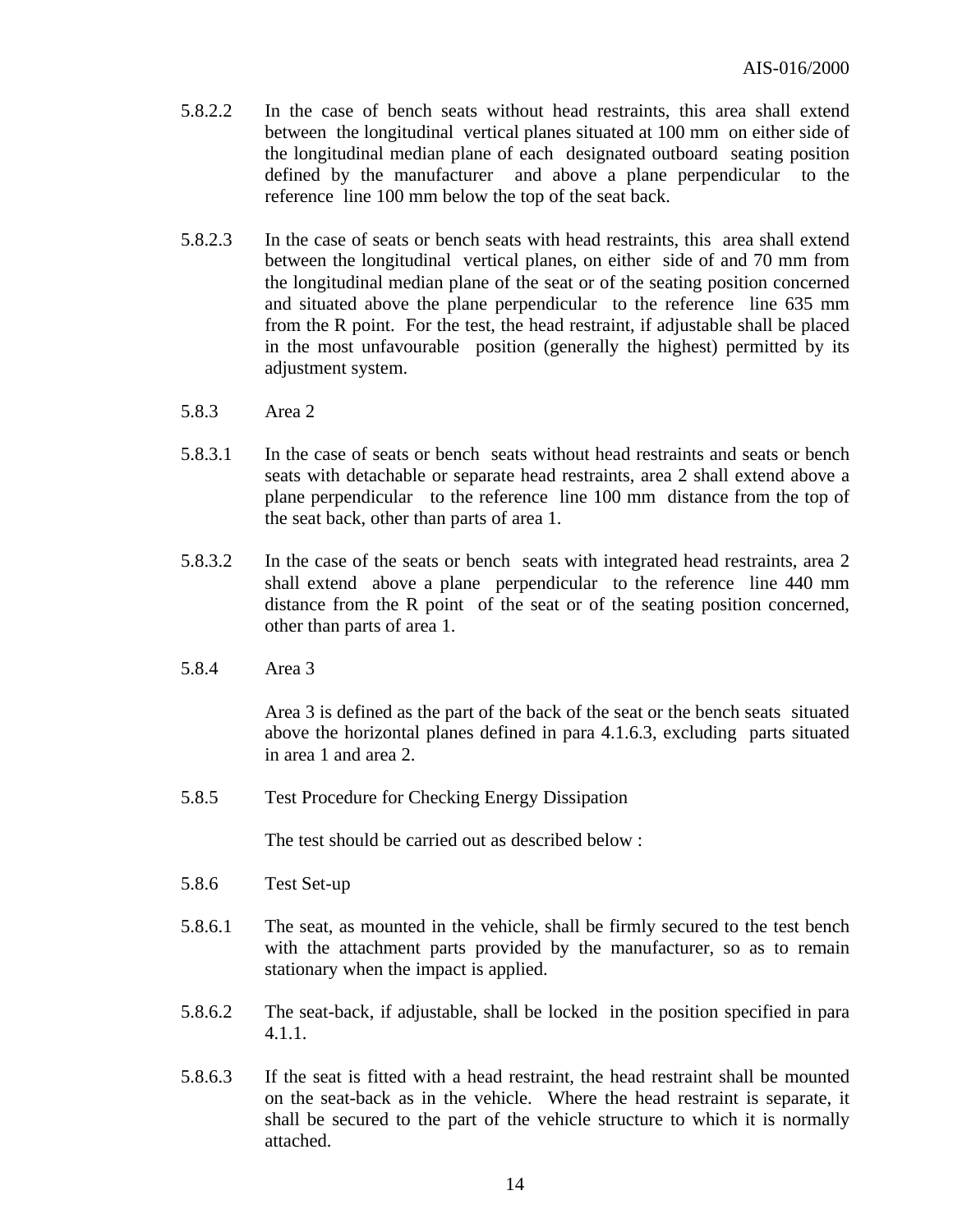- 5.8.2.2 In the case of bench seats without head restraints, this area shall extend between the longitudinal vertical planes situated at 100 mm on either side of the longitudinal median plane of each designated outboard seating position defined by the manufacturer and above a plane perpendicular to the reference line 100 mm below the top of the seat back.
- 5.8.2.3 In the case of seats or bench seats with head restraints, this area shall extend between the longitudinal vertical planes, on either side of and 70 mm from the longitudinal median plane of the seat or of the seating position concerned and situated above the plane perpendicular to the reference line 635 mm from the R point. For the test, the head restraint, if adjustable shall be placed in the most unfavourable position (generally the highest) permitted by its adjustment system.
- 5.8.3 Area 2
- 5.8.3.1 In the case of seats or bench seats without head restraints and seats or bench seats with detachable or separate head restraints, area 2 shall extend above a plane perpendicular to the reference line 100 mm distance from the top of the seat back, other than parts of area 1.
- 5.8.3.2 In the case of the seats or bench seats with integrated head restraints, area 2 shall extend above a plane perpendicular to the reference line 440 mm distance from the R point of the seat or of the seating position concerned, other than parts of area 1.
- 5.8.4 Area 3

Area 3 is defined as the part of the back of the seat or the bench seats situated above the horizontal planes defined in para 4.1.6.3, excluding parts situated in area 1 and area 2.

5.8.5 Test Procedure for Checking Energy Dissipation

The test should be carried out as described below :

- 5.8.6 Test Set-up
- 5.8.6.1 The seat, as mounted in the vehicle, shall be firmly secured to the test bench with the attachment parts provided by the manufacturer, so as to remain stationary when the impact is applied.
- 5.8.6.2 The seat-back, if adjustable, shall be locked in the position specified in para 4.1.1.
- 5.8.6.3 If the seat is fitted with a head restraint, the head restraint shall be mounted on the seat-back as in the vehicle. Where the head restraint is separate, it shall be secured to the part of the vehicle structure to which it is normally attached.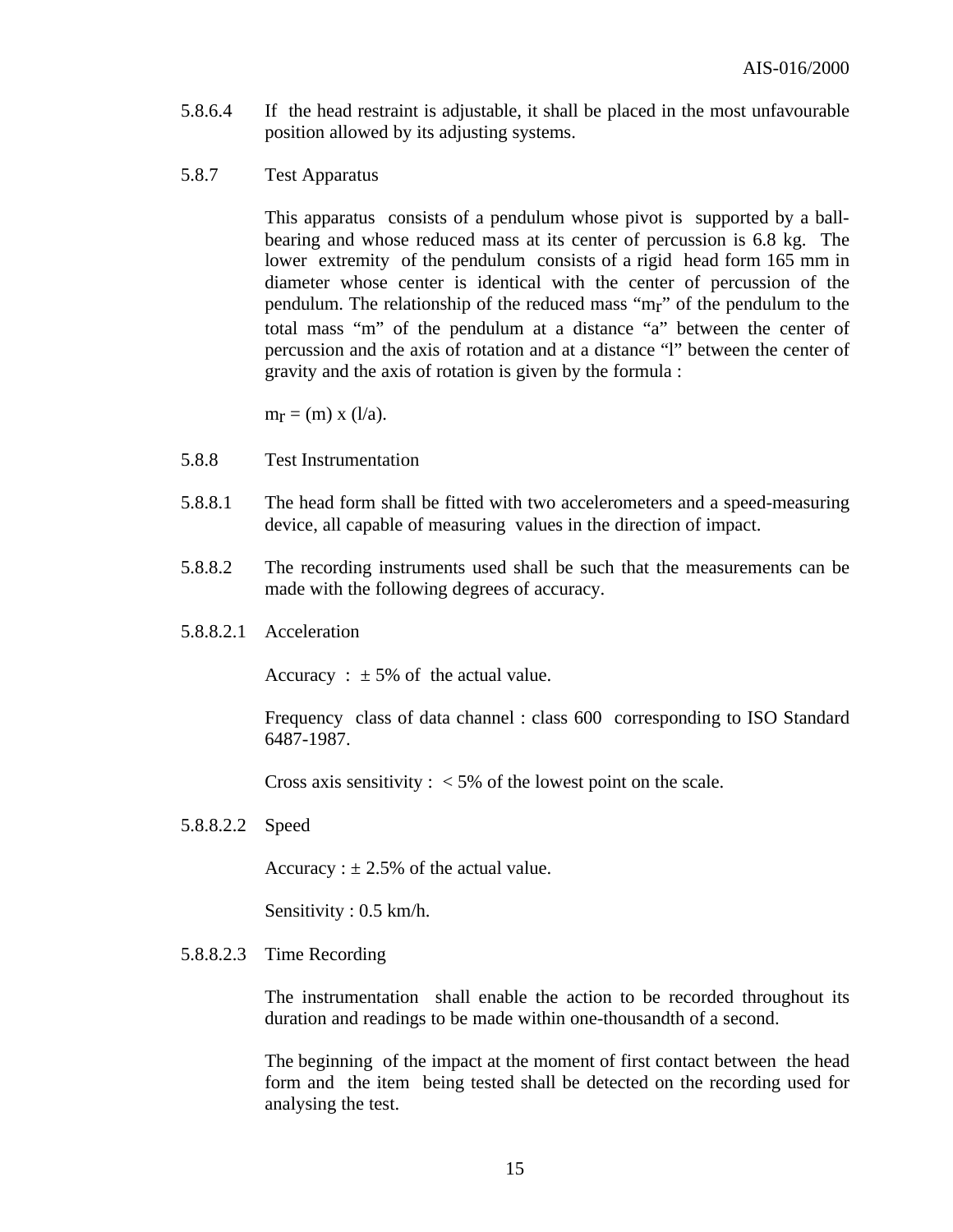- 5.8.6.4 If the head restraint is adjustable, it shall be placed in the most unfavourable position allowed by its adjusting systems.
- 5.8.7 Test Apparatus

This apparatus consists of a pendulum whose pivot is supported by a ballbearing and whose reduced mass at its center of percussion is 6.8 kg. The lower extremity of the pendulum consists of a rigid head form 165 mm in diameter whose center is identical with the center of percussion of the pendulum. The relationship of the reduced mass "mr" of the pendulum to the total mass "m" of the pendulum at a distance "a" between the center of percussion and the axis of rotation and at a distance "l" between the center of gravity and the axis of rotation is given by the formula :

 $m_r = (m)$  x (l/a).

- 5.8.8 Test Instrumentation
- 5.8.8.1 The head form shall be fitted with two accelerometers and a speed-measuring device, all capable of measuring values in the direction of impact.
- 5.8.8.2 The recording instruments used shall be such that the measurements can be made with the following degrees of accuracy.
- 5.8.8.2.1 Acceleration

Accuracy :  $\pm$  5% of the actual value.

Frequency class of data channel : class 600 corresponding to ISO Standard 6487-1987.

Cross axis sensitivity :  $\langle 5\% \rangle$  of the lowest point on the scale.

5.8.8.2.2 Speed

Accuracy :  $\pm 2.5\%$  of the actual value.

Sensitivity : 0.5 km/h.

5.8.8.2.3 Time Recording

The instrumentation shall enable the action to be recorded throughout its duration and readings to be made within one-thousandth of a second.

The beginning of the impact at the moment of first contact between the head form and the item being tested shall be detected on the recording used for analysing the test.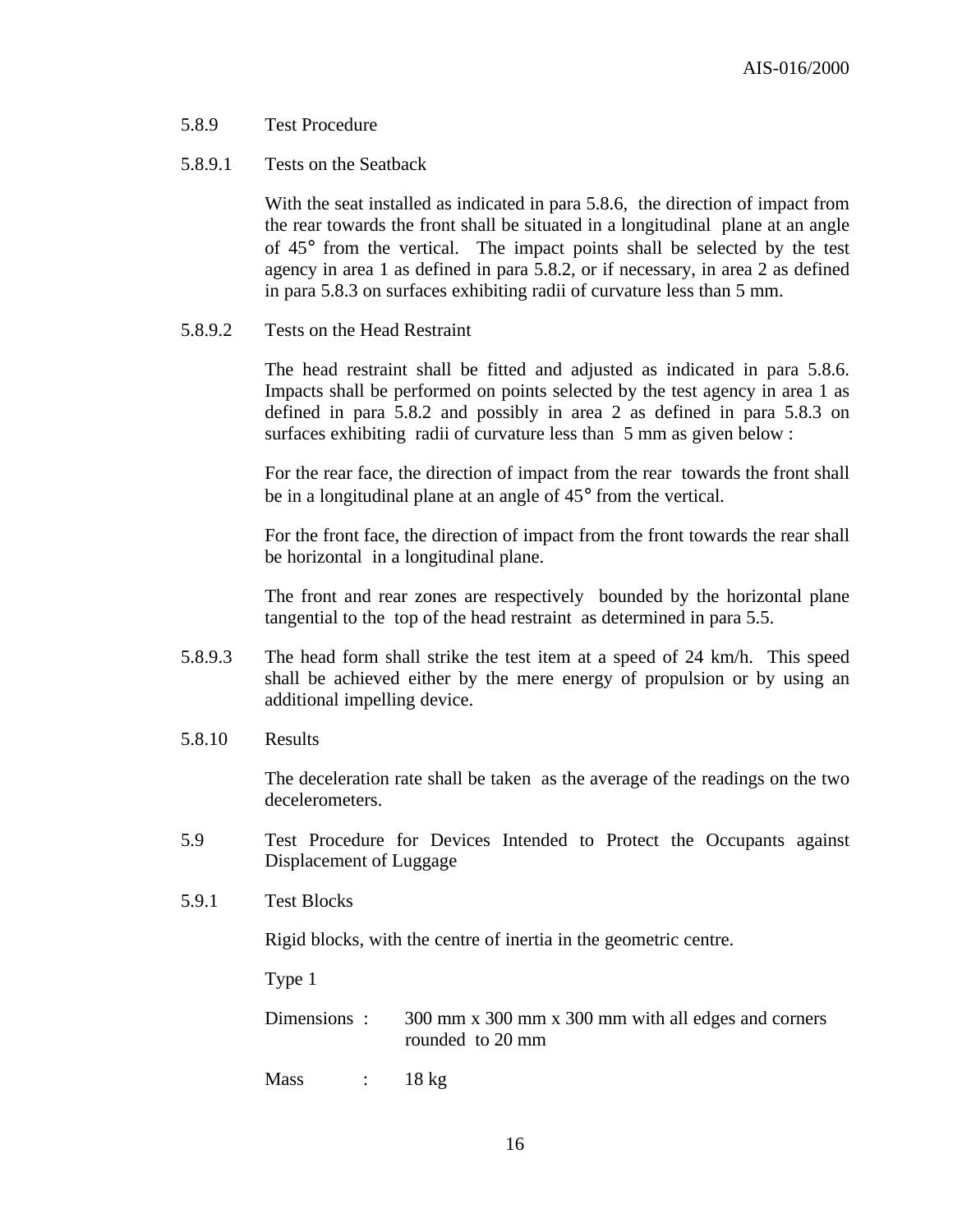- 5.8.9 Test Procedure
- 5.8.9.1 Tests on the Seatback

With the seat installed as indicated in para 5.8.6, the direction of impact from the rear towards the front shall be situated in a longitudinal plane at an angle of 45° from the vertical. The impact points shall be selected by the test agency in area 1 as defined in para 5.8.2, or if necessary, in area 2 as defined in para 5.8.3 on surfaces exhibiting radii of curvature less than 5 mm.

5.8.9.2 Tests on the Head Restraint

The head restraint shall be fitted and adjusted as indicated in para 5.8.6. Impacts shall be performed on points selected by the test agency in area 1 as defined in para 5.8.2 and possibly in area 2 as defined in para 5.8.3 on surfaces exhibiting radii of curvature less than 5 mm as given below :

For the rear face, the direction of impact from the rear towards the front shall be in a longitudinal plane at an angle of 45° from the vertical.

For the front face, the direction of impact from the front towards the rear shall be horizontal in a longitudinal plane.

The front and rear zones are respectively bounded by the horizontal plane tangential to the top of the head restraint as determined in para 5.5.

- 5.8.9.3 The head form shall strike the test item at a speed of 24 km/h. This speed shall be achieved either by the mere energy of propulsion or by using an additional impelling device.
- 5.8.10 Results

The deceleration rate shall be taken as the average of the readings on the two decelerometers.

- 5.9 Test Procedure for Devices Intended to Protect the Occupants against Displacement of Luggage
- 5.9.1 Test Blocks

Rigid blocks, with the centre of inertia in the geometric centre.

Type 1

Dimensions : 300 mm x 300 mm x 300 mm with all edges and corners rounded to 20 mm

 $Mass$  : 18 kg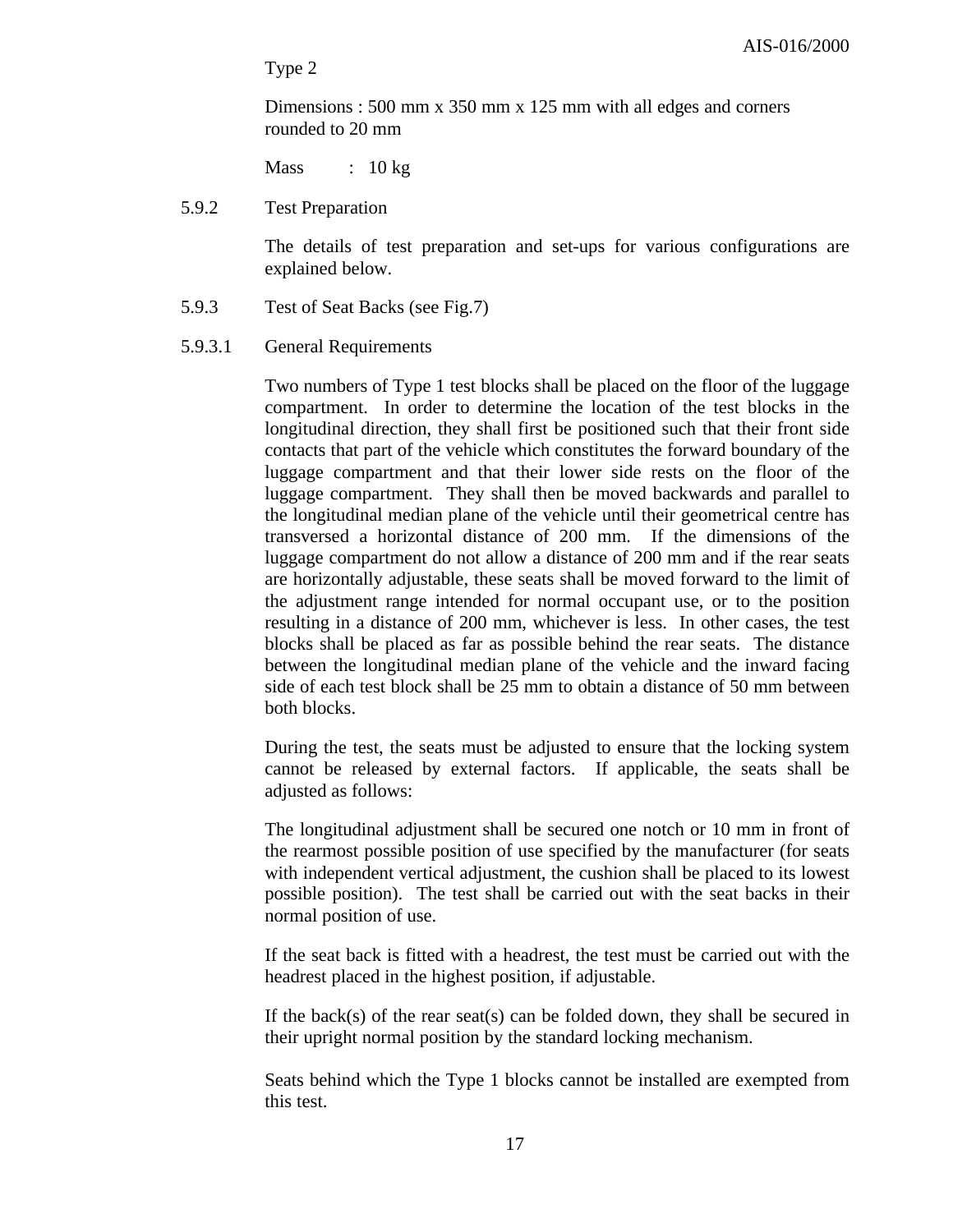Type 2

Dimensions : 500 mm x 350 mm x 125 mm with all edges and corners rounded to 20 mm

 $Mass$  : 10 kg

#### 5.9.2 Test Preparation

The details of test preparation and set-ups for various configurations are explained below.

- 5.9.3 Test of Seat Backs (see Fig.7)
- 5.9.3.1 General Requirements

Two numbers of Type 1 test blocks shall be placed on the floor of the luggage compartment. In order to determine the location of the test blocks in the longitudinal direction, they shall first be positioned such that their front side contacts that part of the vehicle which constitutes the forward boundary of the luggage compartment and that their lower side rests on the floor of the luggage compartment. They shall then be moved backwards and parallel to the longitudinal median plane of the vehicle until their geometrical centre has transversed a horizontal distance of 200 mm. If the dimensions of the luggage compartment do not allow a distance of 200 mm and if the rear seats are horizontally adjustable, these seats shall be moved forward to the limit of the adjustment range intended for normal occupant use, or to the position resulting in a distance of 200 mm, whichever is less. In other cases, the test blocks shall be placed as far as possible behind the rear seats. The distance between the longitudinal median plane of the vehicle and the inward facing side of each test block shall be 25 mm to obtain a distance of 50 mm between both blocks.

During the test, the seats must be adjusted to ensure that the locking system cannot be released by external factors. If applicable, the seats shall be adjusted as follows:

The longitudinal adjustment shall be secured one notch or 10 mm in front of the rearmost possible position of use specified by the manufacturer (for seats with independent vertical adjustment, the cushion shall be placed to its lowest possible position). The test shall be carried out with the seat backs in their normal position of use.

If the seat back is fitted with a headrest, the test must be carried out with the headrest placed in the highest position, if adjustable.

If the back(s) of the rear seat(s) can be folded down, they shall be secured in their upright normal position by the standard locking mechanism.

Seats behind which the Type 1 blocks cannot be installed are exempted from this test.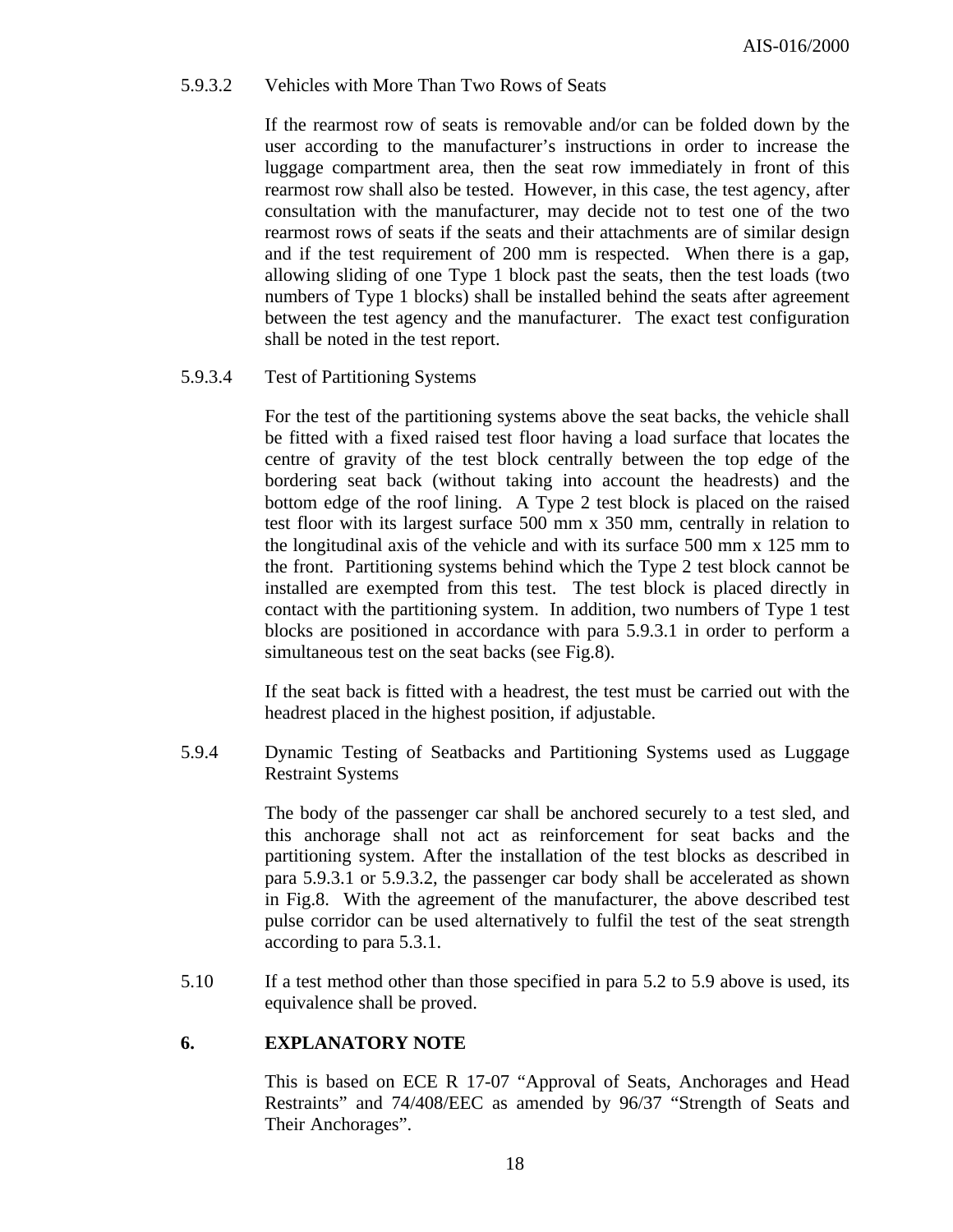#### 5.9.3.2 Vehicles with More Than Two Rows of Seats

If the rearmost row of seats is removable and/or can be folded down by the user according to the manufacturer's instructions in order to increase the luggage compartment area, then the seat row immediately in front of this rearmost row shall also be tested. However, in this case, the test agency, after consultation with the manufacturer, may decide not to test one of the two rearmost rows of seats if the seats and their attachments are of similar design and if the test requirement of 200 mm is respected. When there is a gap, allowing sliding of one Type 1 block past the seats, then the test loads (two numbers of Type 1 blocks) shall be installed behind the seats after agreement between the test agency and the manufacturer. The exact test configuration shall be noted in the test report.

#### 5.9.3.4 Test of Partitioning Systems

For the test of the partitioning systems above the seat backs, the vehicle shall be fitted with a fixed raised test floor having a load surface that locates the centre of gravity of the test block centrally between the top edge of the bordering seat back (without taking into account the headrests) and the bottom edge of the roof lining. A Type 2 test block is placed on the raised test floor with its largest surface 500 mm x 350 mm, centrally in relation to the longitudinal axis of the vehicle and with its surface 500 mm x 125 mm to the front. Partitioning systems behind which the Type 2 test block cannot be installed are exempted from this test. The test block is placed directly in contact with the partitioning system. In addition, two numbers of Type 1 test blocks are positioned in accordance with para 5.9.3.1 in order to perform a simultaneous test on the seat backs (see Fig.8).

If the seat back is fitted with a headrest, the test must be carried out with the headrest placed in the highest position, if adjustable.

5.9.4 Dynamic Testing of Seatbacks and Partitioning Systems used as Luggage Restraint Systems

> The body of the passenger car shall be anchored securely to a test sled, and this anchorage shall not act as reinforcement for seat backs and the partitioning system. After the installation of the test blocks as described in para 5.9.3.1 or 5.9.3.2, the passenger car body shall be accelerated as shown in Fig.8. With the agreement of the manufacturer, the above described test pulse corridor can be used alternatively to fulfil the test of the seat strength according to para 5.3.1.

5.10 If a test method other than those specified in para 5.2 to 5.9 above is used, its equivalence shall be proved.

#### **6. EXPLANATORY NOTE**

This is based on ECE R 17-07 "Approval of Seats, Anchorages and Head Restraints" and 74/408/EEC as amended by 96/37 "Strength of Seats and Their Anchorages".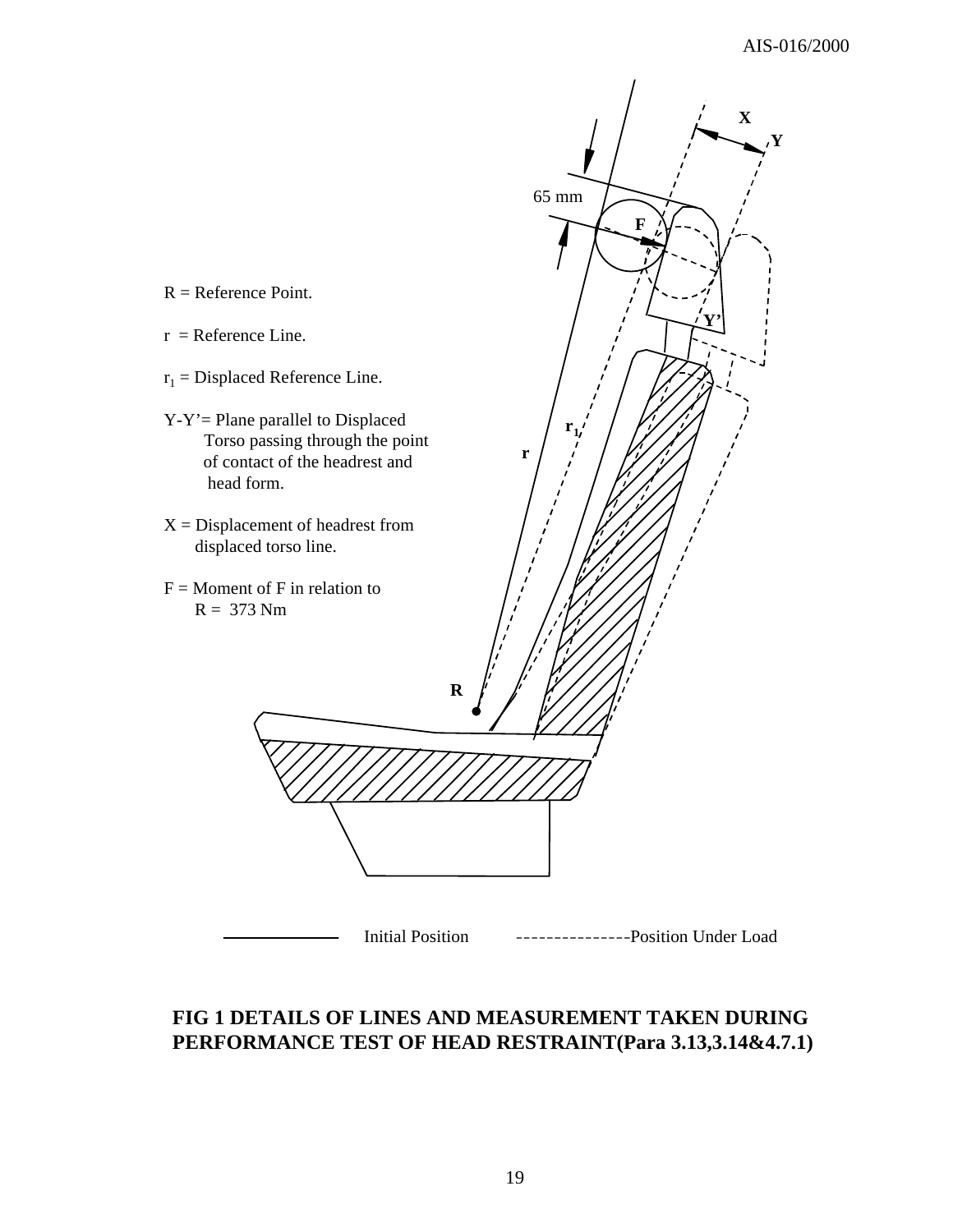

## **FIG 1 DETAILS OF LINES AND MEASUREMENT TAKEN DURING PERFORMANCE TEST OF HEAD RESTRAINT(Para 3.13,3.14&4.7.1)**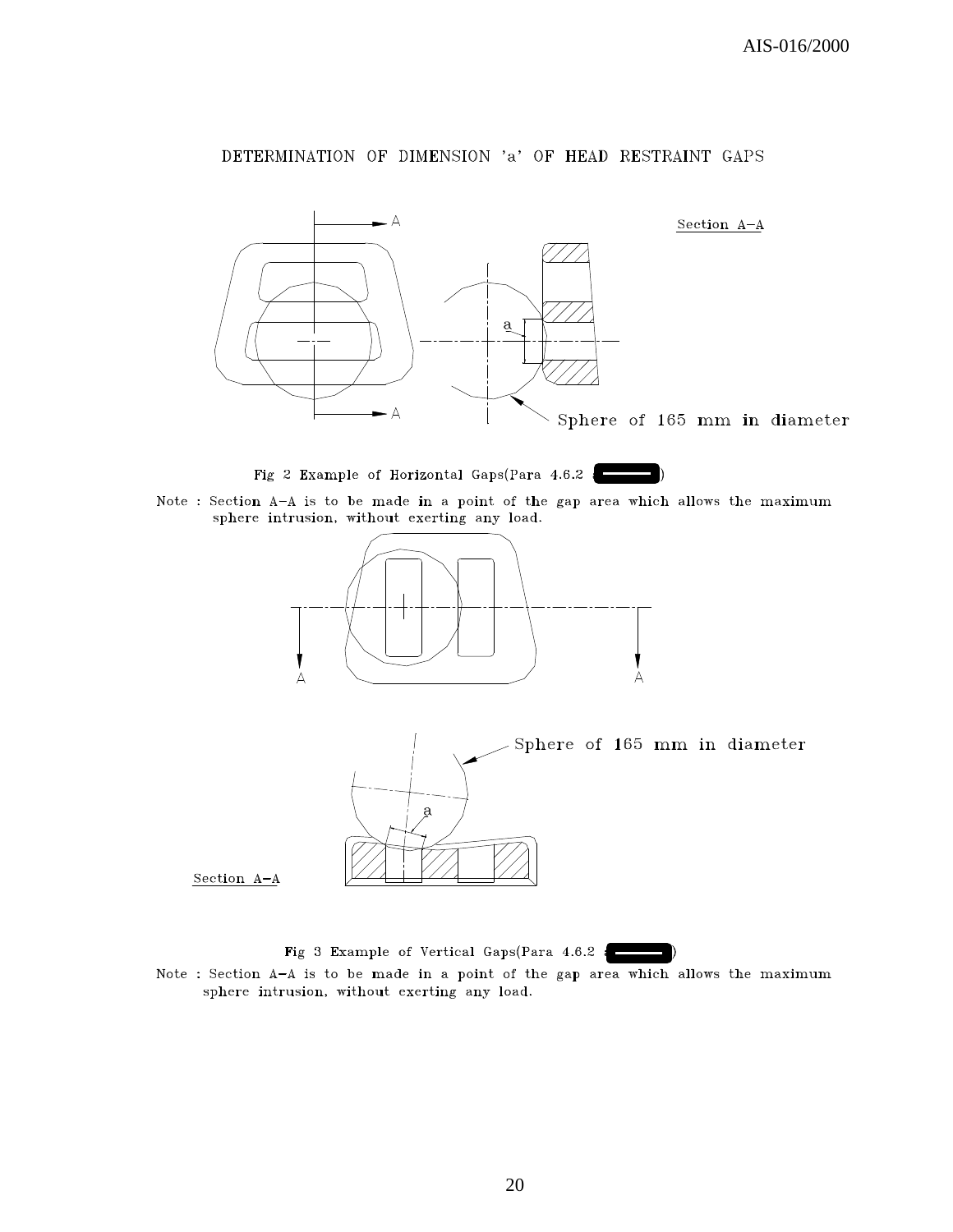#### DETERMINATION OF DIMENSION 'a' OF HEAD RESTRAINT GAPS





Note : Section A-A is to be made in a point of the gap area which allows the maximum sphere intrusion, without exerting any load.





Section A-A

Fig 3 Example of Vertical Gaps(Para 4.6.2 :

Note : Section A-A is to be made in a point of the gap area which allows the maximum sphere intrusion, without exerting any load.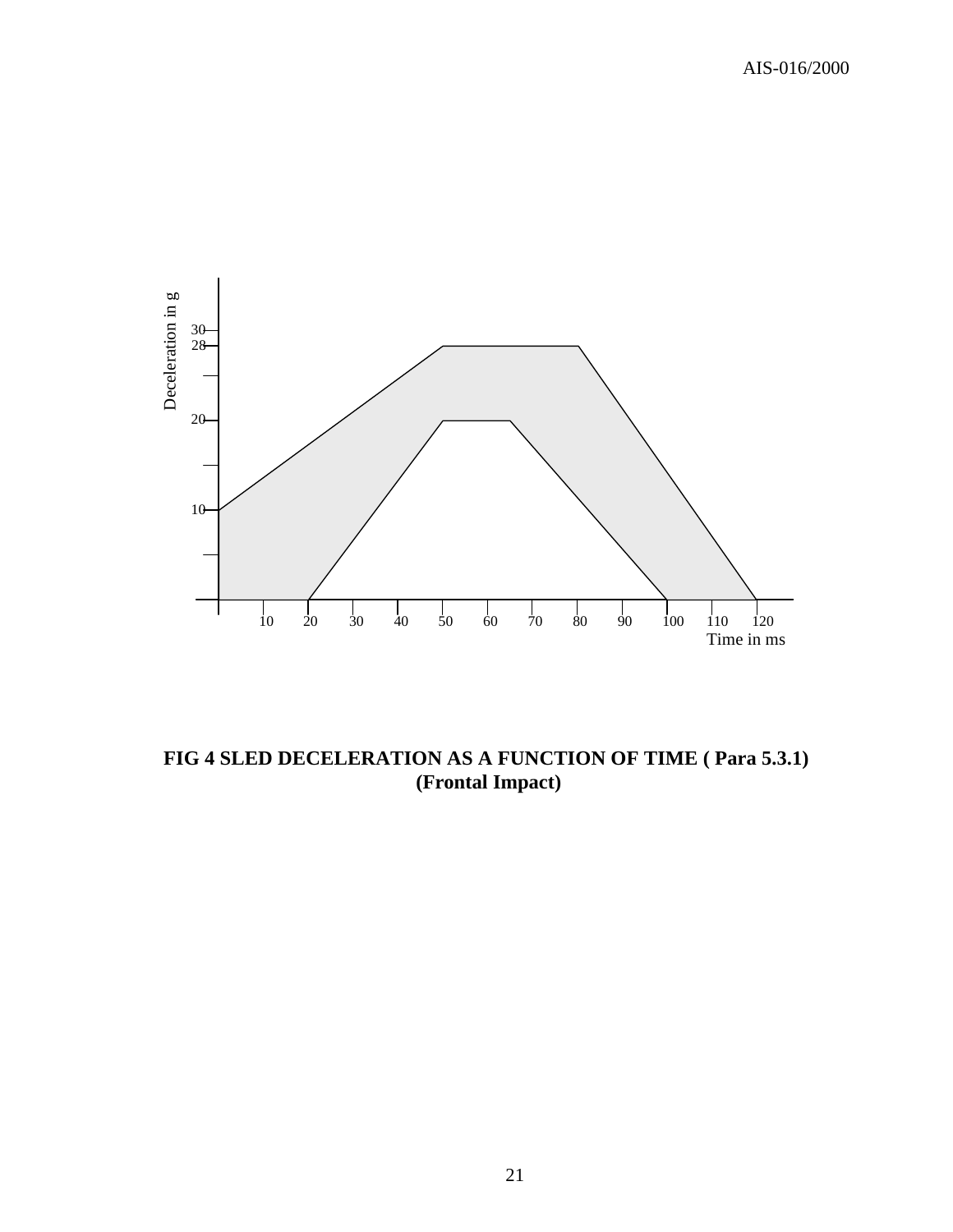

**FIG 4 SLED DECELERATION AS A FUNCTION OF TIME ( Para 5.3.1) (Frontal Impact)**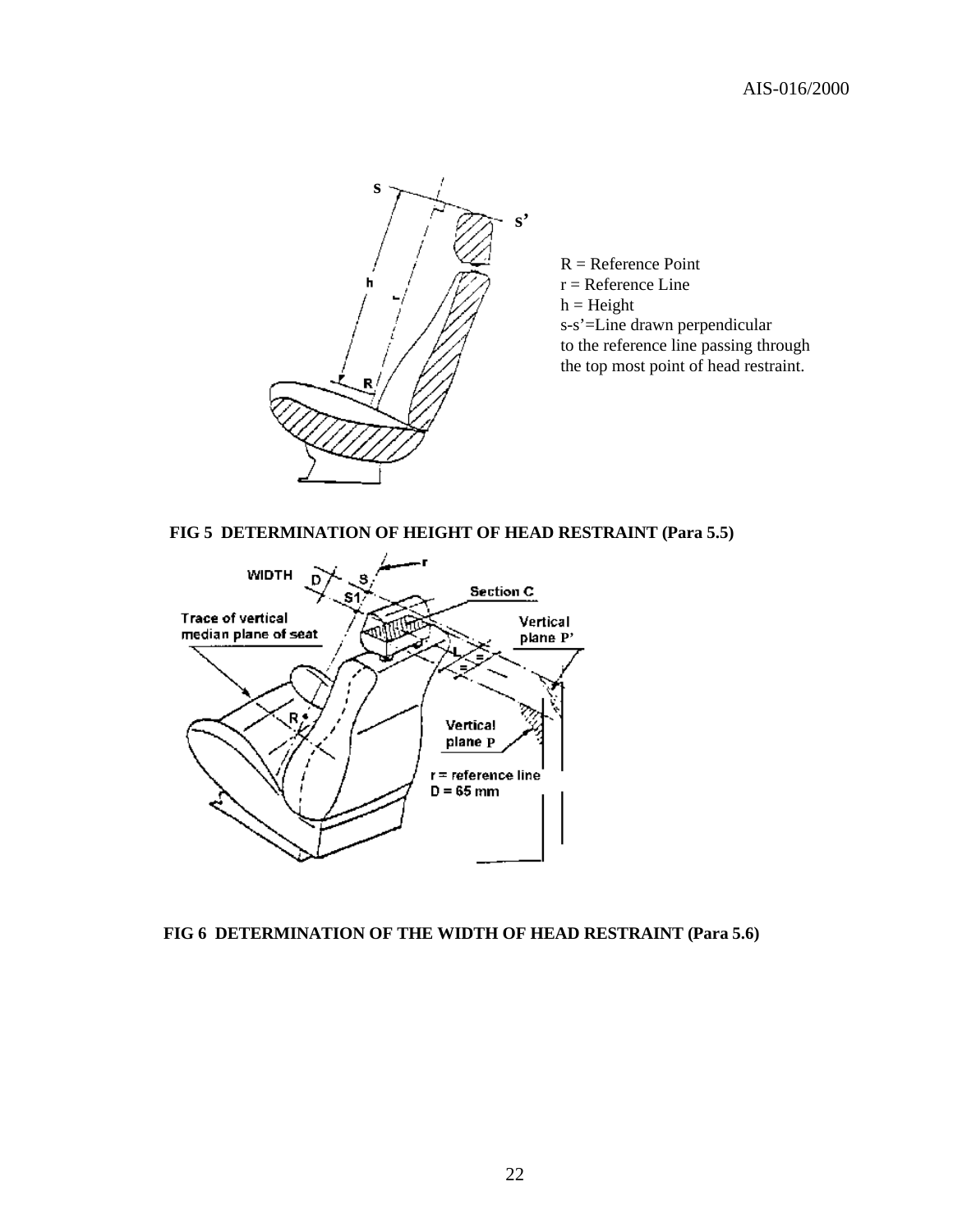

 $R =$  Reference Point  $r =$  Reference Line  $h = Height$ s-s'=Line drawn perpendicular to the reference line passing through the top most point of head restraint.

#### **FIG 5 DETERMINATION OF HEIGHT OF HEAD RESTRAINT (Para 5.5)**



#### **FIG 6 DETERMINATION OF THE WIDTH OF HEAD RESTRAINT (Para 5.6)**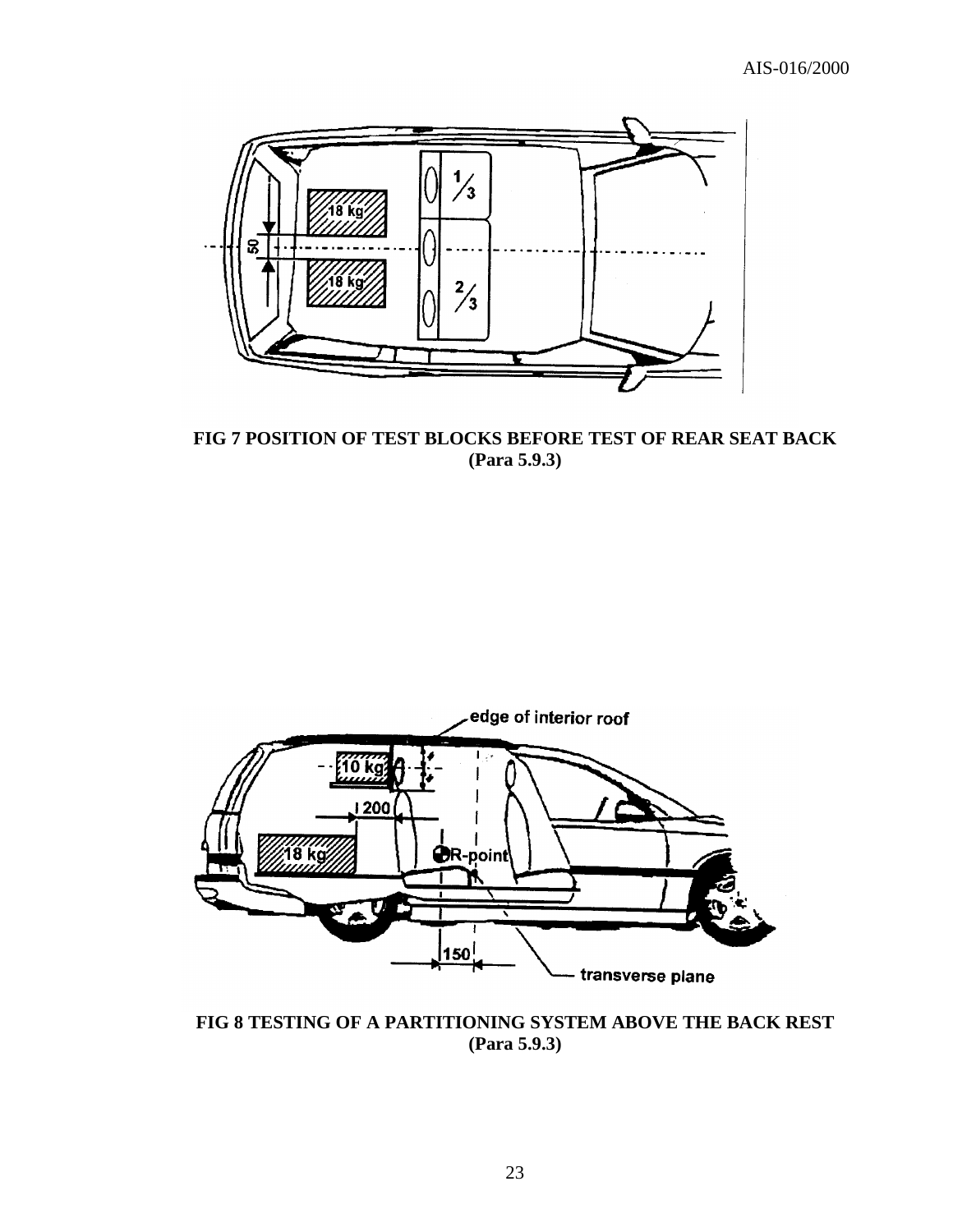

**FIG 7 POSITION OF TEST BLOCKS BEFORE TEST OF REAR SEAT BACK (Para 5.9.3)**



**FIG 8 TESTING OF A PARTITIONING SYSTEM ABOVE THE BACK REST (Para 5.9.3)**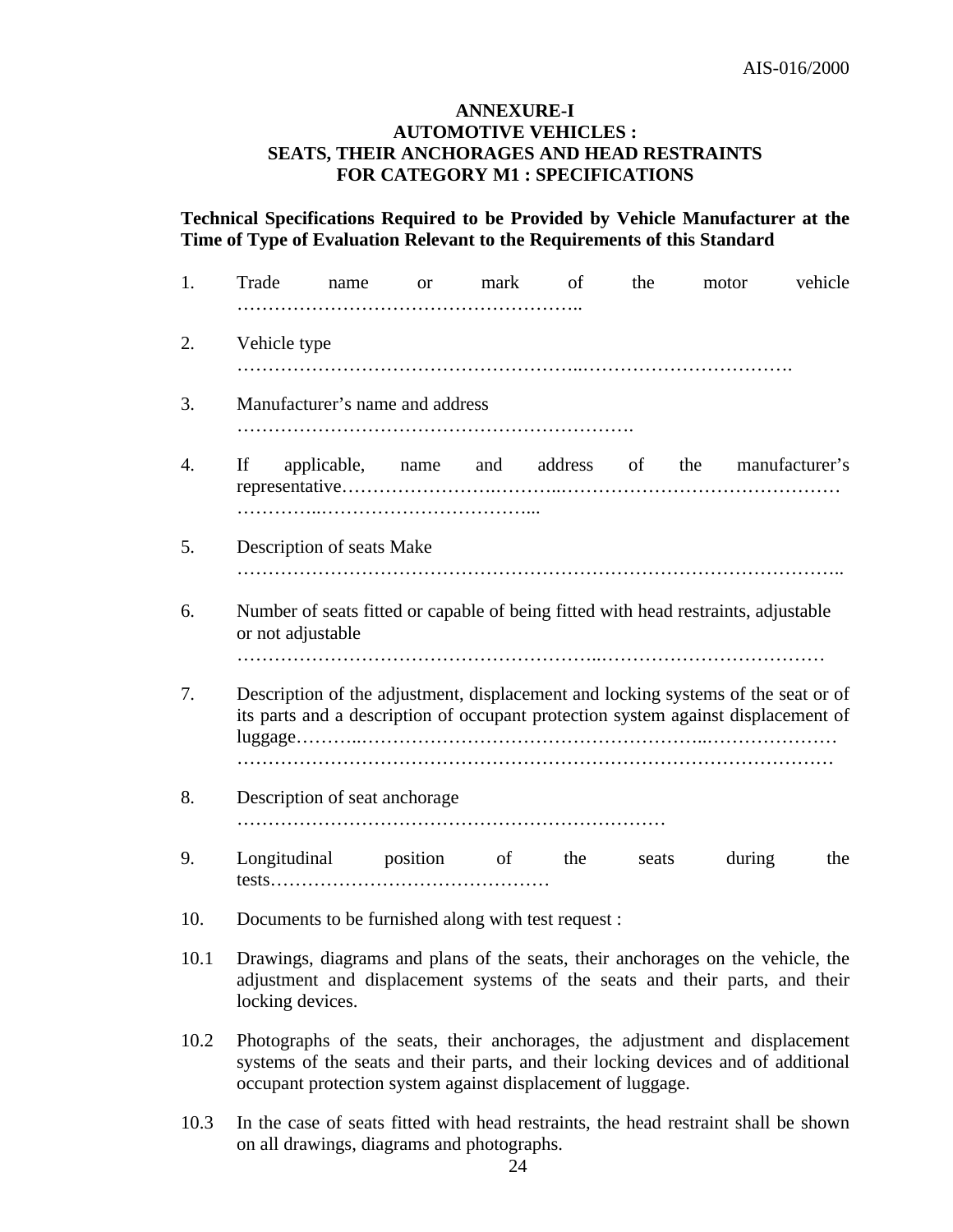#### **ANNEXURE-I AUTOMOTIVE VEHICLES : SEATS, THEIR ANCHORAGES AND HEAD RESTRAINTS FOR CATEGORY M1 : SPECIFICATIONS**

**Technical Specifications Required to be Provided by Vehicle Manufacturer at the Time of Type of Evaluation Relevant to the Requirements of this Standard**

| 1.   | Trade                                                                                                                                                                                                                           | name |  | or mark | of | the | motor                                                                               | vehicle |
|------|---------------------------------------------------------------------------------------------------------------------------------------------------------------------------------------------------------------------------------|------|--|---------|----|-----|-------------------------------------------------------------------------------------|---------|
| 2.   | Vehicle type                                                                                                                                                                                                                    |      |  |         |    |     |                                                                                     |         |
| 3.   | Manufacturer's name and address                                                                                                                                                                                                 |      |  |         |    |     |                                                                                     |         |
| 4.   | If<br>applicable, name and address of the manufacturer's                                                                                                                                                                        |      |  |         |    |     |                                                                                     |         |
| 5.   | Description of seats Make                                                                                                                                                                                                       |      |  |         |    |     |                                                                                     |         |
| 6.   | Number of seats fitted or capable of being fitted with head restraints, adjustable<br>or not adjustable                                                                                                                         |      |  |         |    |     |                                                                                     |         |
| 7.   | Description of the adjustment, displacement and locking systems of the seat or of<br>its parts and a description of occupant protection system against displacement of                                                          |      |  |         |    |     |                                                                                     |         |
| 8.   | Description of seat anchorage                                                                                                                                                                                                   |      |  |         |    |     |                                                                                     |         |
| 9.   | Longitudinal position of the seats                                                                                                                                                                                              |      |  |         |    |     | during                                                                              | the     |
| 10.  | Documents to be furnished along with test request :                                                                                                                                                                             |      |  |         |    |     |                                                                                     |         |
| 10.1 | Drawings, diagrams and plans of the seats, their anchorages on the vehicle, the<br>adjustment and displacement systems of the seats and their parts, and their<br>locking devices.                                              |      |  |         |    |     |                                                                                     |         |
| 10.2 | Photographs of the seats, their anchorages, the adjustment and displacement<br>systems of the seats and their parts, and their locking devices and of additional<br>occupant protection system against displacement of luggage. |      |  |         |    |     |                                                                                     |         |
| 10.3 | on all drawings, diagrams and photographs.                                                                                                                                                                                      |      |  |         |    |     | In the case of seats fitted with head restraints, the head restraint shall be shown |         |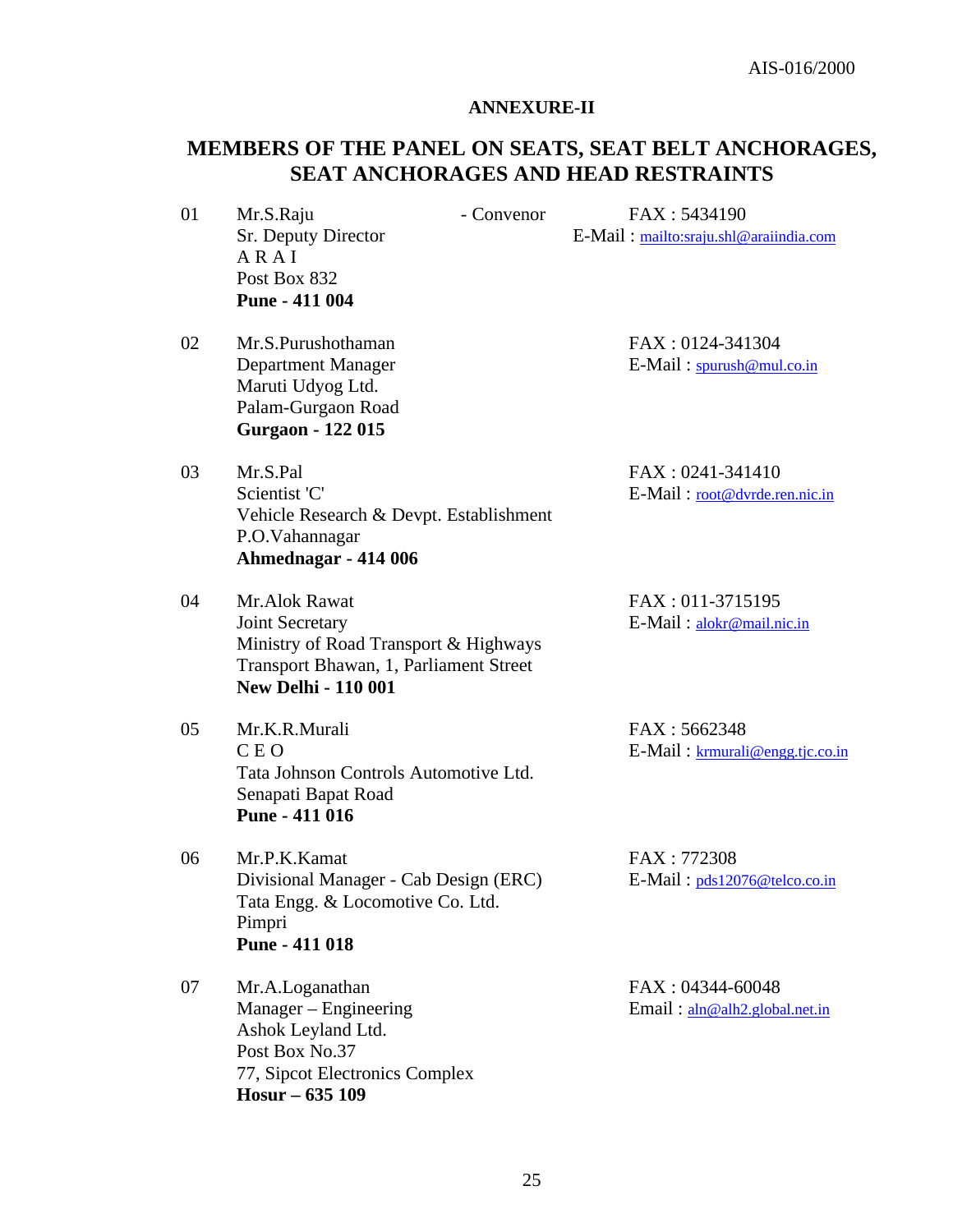#### **ANNEXURE-II**

## **MEMBERS OF THE PANEL ON SEATS, SEAT BELT ANCHORAGES, SEAT ANCHORAGES AND HEAD RESTRAINTS**

- A R A I Post Box 832 **Pune - 411 004**
- 02 Mr.S.Purushothaman FAX : 0124-341304 Maruti Udyog Ltd. Palam-Gurgaon Road  **Gurgaon - 122 015**
- 03 Mr.S.Pal FAX : 0241-341410 Scientist 'C' E-Mail : root@dvrde.ren.nic.in Vehicle Research & Devpt. Establishment P.O.Vahannagar  **Ahmednagar - 414 006**
- 04 Mr.Alok Rawat FAX : 011-3715195 Joint Secretary E-Mail : alokr@mail.nic.in Ministry of Road Transport & Highways Transport Bhawan, 1, Parliament Street  **New Delhi - 110 001**
- 05 Mr.K.R.Murali FAX : 5662348 C E O E-Mail : krmurali@engg.tjc.co.in Tata Johnson Controls Automotive Ltd. Senapati Bapat Road **Pune - 411 016**
- 06 Mr.P.K.Kamat FAX : 772308 Divisional Manager - Cab Design (ERC) E-Mail: pds12076@telco.co.in Tata Engg. & Locomotive Co. Ltd. Pimpri  **Pune - 411 018**

07 Mr.A.Loganathan FAX : 04344-60048 Manager – Engineering Email : aln @alh2.global.net.in Ashok Leyland Ltd. Post Box No.37 77, Sipcot Electronics Complex **Hosur – 635 109**

01 Mr.S.Raju - Convenor FAX : 5434190 Sr. Deputy Director E-Mail : mailto:sraju.shl@araiindia.com

Department Manager E-Mail : spurush@mul.co.in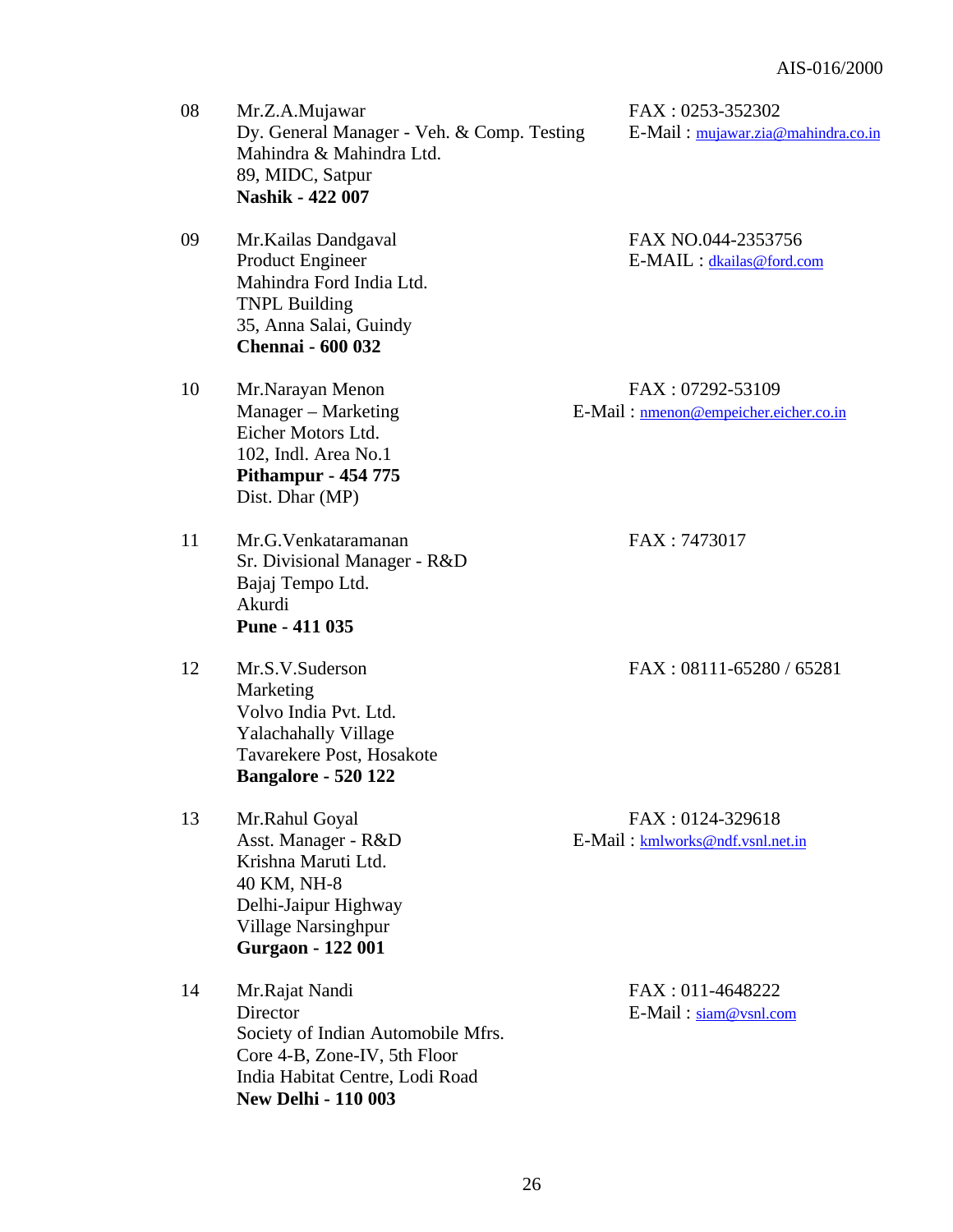| 08 | Mr.Z.A.Mujawar<br>Dy. General Manager - Veh. & Comp. Testing<br>Mahindra & Mahindra Ltd.<br>89, MIDC, Satpur<br><b>Nashik - 422 007</b>                           | FAX: 0253-352302<br>E-Mail: mujawar.zia@mahindra.co.in    |
|----|-------------------------------------------------------------------------------------------------------------------------------------------------------------------|-----------------------------------------------------------|
| 09 | Mr. Kailas Dandgaval<br><b>Product Engineer</b><br>Mahindra Ford India Ltd.<br><b>TNPL Building</b><br>35, Anna Salai, Guindy<br><b>Chennai - 600 032</b>         | FAX NO.044-2353756<br>E-MAIL : dkailas@ford.com           |
| 10 | Mr.Narayan Menon<br>Manager – Marketing<br>Eicher Motors Ltd.<br>102, Indl. Area No.1<br><b>Pithampur - 454 775</b><br>Dist. Dhar (MP)                            | FAX: 07292-53109<br>E-Mail: nmenon@empeicher.eicher.co.in |
| 11 | Mr.G.Venkataramanan<br>Sr. Divisional Manager - R&D<br>Bajaj Tempo Ltd.<br>Akurdi<br>Pune - 411 035                                                               | FAX: 7473017                                              |
| 12 | Mr.S.V.Suderson<br>Marketing<br>Volvo India Pvt. Ltd.<br><b>Yalachahally Village</b><br>Tavarekere Post, Hosakote<br><b>Bangalore - 520 122</b>                   | FAX: 08111-65280 / 65281                                  |
| 13 | Mr.Rahul Goyal<br>Asst. Manager - R&D<br>Krishna Maruti Ltd.<br>40 KM, NH-8<br>Delhi-Jaipur Highway<br><b>Village Narsinghpur</b><br><b>Gurgaon - 122 001</b>     | FAX: 0124-329618<br>E-Mail: kmlworks@ndf.vsnl.net.in      |
| 14 | Mr.Rajat Nandi<br>Director<br>Society of Indian Automobile Mfrs.<br>Core 4-B, Zone-IV, 5th Floor<br>India Habitat Centre, Lodi Road<br><b>New Delhi - 110 003</b> | FAX: 011-4648222<br>$E-Mail : \text{siam@vsnl.com}$       |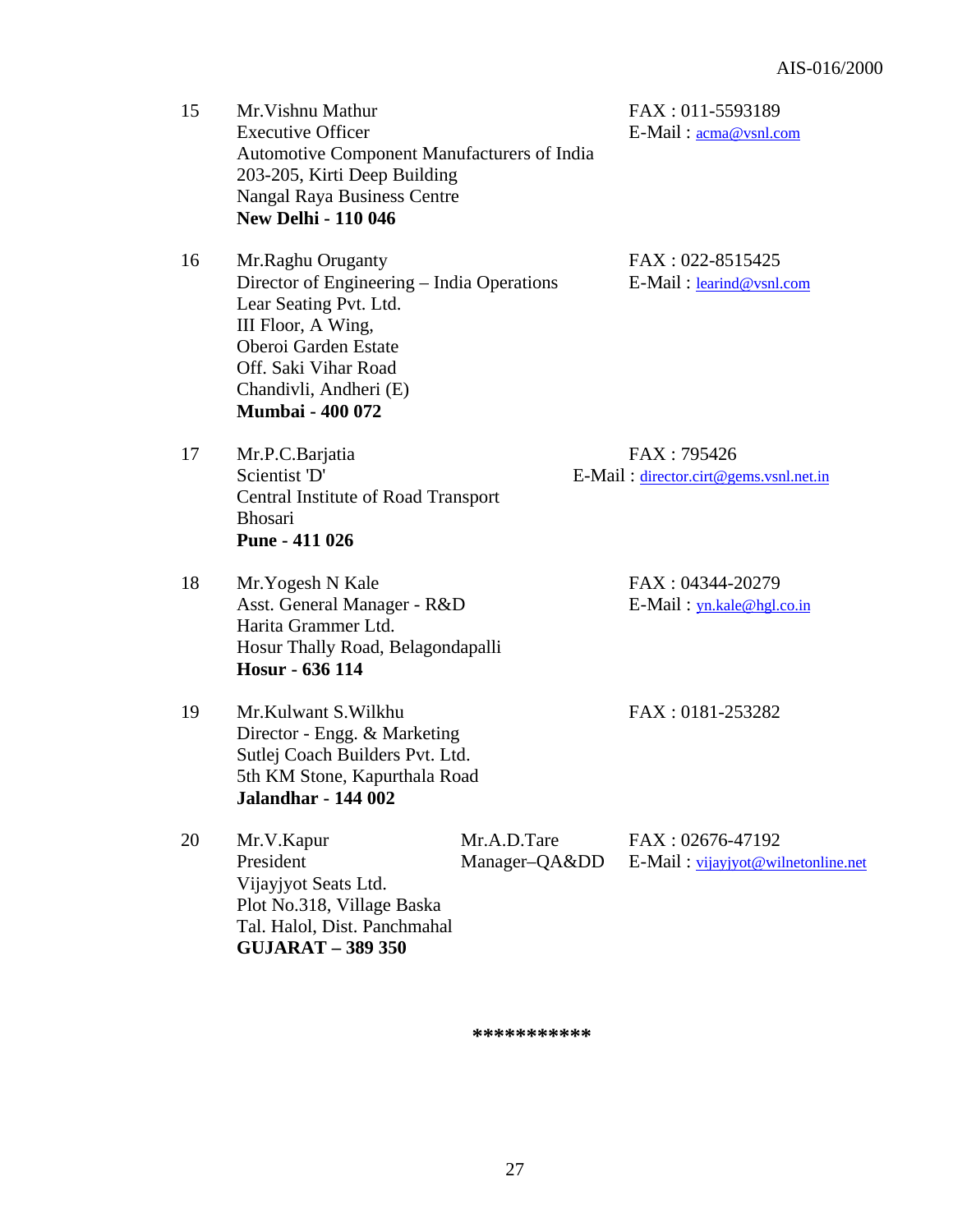| 15 | Mr. Vishnu Mathur<br><b>Executive Officer</b><br>Automotive Component Manufacturers of India<br>203-205, Kirti Deep Building<br><b>Nangal Raya Business Centre</b><br><b>New Delhi - 110 046</b>                     |                            | FAX: 011-5593189<br>E-Mail: <u>acma@vsnl.com</u>       |
|----|----------------------------------------------------------------------------------------------------------------------------------------------------------------------------------------------------------------------|----------------------------|--------------------------------------------------------|
| 16 | Mr.Raghu Oruganty<br>Director of Engineering – India Operations<br>Lear Seating Pvt. Ltd.<br>III Floor, A Wing,<br>Oberoi Garden Estate<br>Off. Saki Vihar Road<br>Chandivli, Andheri (E)<br><b>Mumbai - 400 072</b> |                            | FAX: 022-8515425<br>E-Mail: learind@vsnl.com           |
| 17 | Mr.P.C.Barjatia<br>Scientist 'D'<br>Central Institute of Road Transport<br><b>Bhosari</b><br>Pune - 411 026                                                                                                          |                            | FAX: 795426<br>E-Mail: director.cirt@gems.vsnl.net.in  |
| 18 | Mr. Yogesh N Kale<br>Asst. General Manager - R&D<br>Harita Grammer Ltd.<br>Hosur Thally Road, Belagondapalli<br>Hosur - 636 114                                                                                      |                            | FAX: 04344-20279<br>$E$ -Mail: $yn.kale@hgl.co.in$     |
| 19 | Mr.Kulwant S.Wilkhu<br>Director - Engg. & Marketing<br>Sutlej Coach Builders Pvt. Ltd.<br>5th KM Stone, Kapurthala Road<br>Jalandhar - 144 002                                                                       |                            | FAX: 0181-253282                                       |
| 20 | Mr.V.Kapur<br>President<br>Vijayjyot Seats Ltd.<br>Plot No.318, Village Baska<br>Tal. Halol, Dist. Panchmahal<br><b>GUJARAT - 389 350</b>                                                                            | Mr.A.D.Tare<br>Manager-QAⅅ | FAX: 02676-47192<br>E-Mail: vijayjyot@wilnetonline.net |

**\*\*\*\*\*\*\*\*\*\*\***